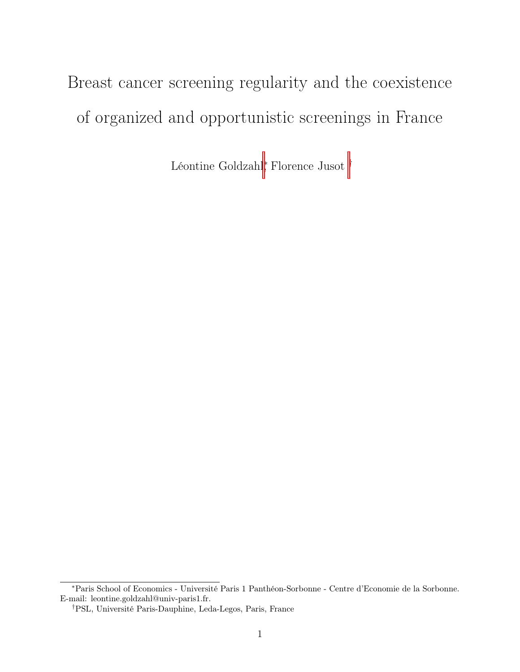# Breast cancer screening regularity and the coexistence of organized and opportunistic screenings in France

Léontine Goldzahl<sup>∗</sup> , Florence Jusot †

<sup>∗</sup>Paris School of Economics - Université Paris 1 Panthéon-Sorbonne - Centre d'Economie de la Sorbonne. E-mail: leontine.goldzahl@univ-paris1.fr.

<sup>†</sup>PSL, Université Paris-Dauphine, Leda-Legos, Paris, France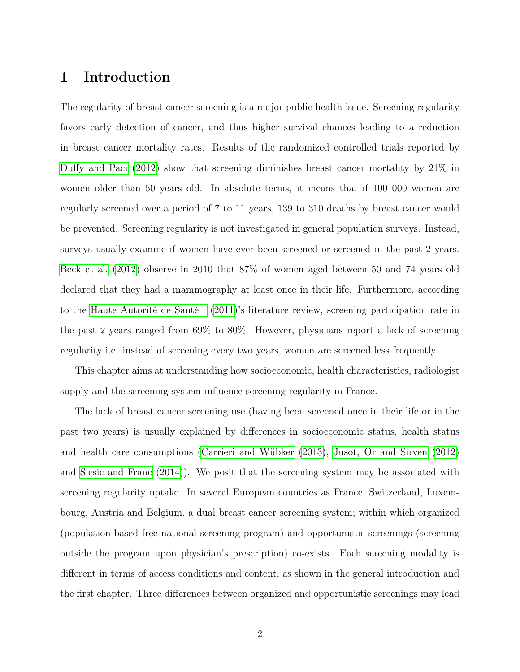# <span id="page-1-0"></span>1 Introduction

The regularity of breast cancer screening is a major public health issue. Screening regularity favors early detection of cancer, and thus higher survival chances leading to a reduction in breast cancer mortality rates. Results of the randomized controlled trials reported by [Duffy and Paci](#page-37-0) [\(2012\)](#page-37-0) show that screening diminishes breast cancer mortality by 21% in women older than 50 years old. In absolute terms, it means that if 100 000 women are regularly screened over a period of 7 to 11 years, 139 to 310 deaths by breast cancer would be prevented. Screening regularity is not investigated in general population surveys. Instead, surveys usually examine if women have ever been screened or screened in the past 2 years. [Beck et al.](#page-36-0) [\(2012\)](#page-36-0) observe in 2010 that 87% of women aged between 50 and 74 years old declared that they had a mammography at least once in their life. Furthermore, according to the [Haute Autorité de Santé](#page-37-1) [\(2011\)](#page-37-1)'s literature review, screening participation rate in the past 2 years ranged from 69% to 80%. However, physicians report a lack of screening regularity i.e. instead of screening every two years, women are screened less frequently.

This chapter aims at understanding how socioeconomic, health characteristics, radiologist supply and the screening system influence screening regularity in France.

The lack of breast cancer screening use (having been screened once in their life or in the past two years) is usually explained by differences in socioeconomic status, health status and health care consumptions [\(Carrieri and Wübker](#page-36-1) [\(2013\)](#page-36-1), [Jusot, Or and Sirven](#page-38-0) [\(2012\)](#page-38-0) and [Sicsic and Franc](#page-39-0) [\(2014\)](#page-39-0)). We posit that the screening system may be associated with screening regularity uptake. In several European countries as France, Switzerland, Luxembourg, Austria and Belgium, a dual breast cancer screening system; within which organized (population-based free national screening program) and opportunistic screenings (screening outside the program upon physician's prescription) co-exists. Each screening modality is different in terms of access conditions and content, as shown in the general introduction and the first chapter. Three differences between organized and opportunistic screenings may lead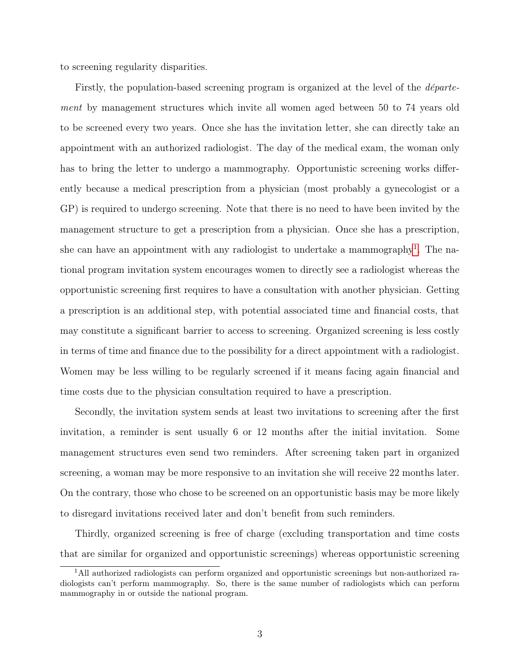to screening regularity disparities.

Firstly, the population-based screening program is organized at the level of the département by management structures which invite all women aged between 50 to 74 years old to be screened every two years. Once she has the invitation letter, she can directly take an appointment with an authorized radiologist. The day of the medical exam, the woman only has to bring the letter to undergo a mammography. Opportunistic screening works differently because a medical prescription from a physician (most probably a gynecologist or a GP) is required to undergo screening. Note that there is no need to have been invited by the management structure to get a prescription from a physician. Once she has a prescription, she can have an appointment with any radiologist to undertake a mammography<sup>[1](#page-2-0)</sup>. The national program invitation system encourages women to directly see a radiologist whereas the opportunistic screening first requires to have a consultation with another physician. Getting a prescription is an additional step, with potential associated time and financial costs, that may constitute a significant barrier to access to screening. Organized screening is less costly in terms of time and finance due to the possibility for a direct appointment with a radiologist. Women may be less willing to be regularly screened if it means facing again financial and time costs due to the physician consultation required to have a prescription.

Secondly, the invitation system sends at least two invitations to screening after the first invitation, a reminder is sent usually 6 or 12 months after the initial invitation. Some management structures even send two reminders. After screening taken part in organized screening, a woman may be more responsive to an invitation she will receive 22 months later. On the contrary, those who chose to be screened on an opportunistic basis may be more likely to disregard invitations received later and don't benefit from such reminders.

Thirdly, organized screening is free of charge (excluding transportation and time costs that are similar for organized and opportunistic screenings) whereas opportunistic screening

<span id="page-2-0"></span><sup>&</sup>lt;sup>1</sup>All authorized radiologists can perform organized and opportunistic screenings but non-authorized radiologists can't perform mammography. So, there is the same number of radiologists which can perform mammography in or outside the national program.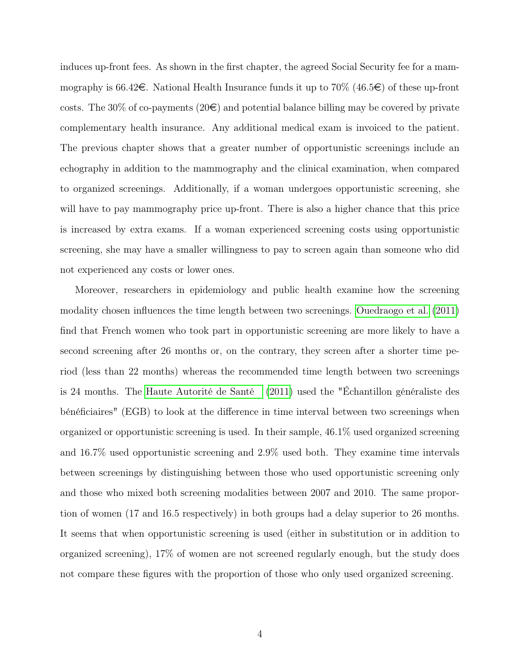<span id="page-3-0"></span>induces up-front fees. As shown in the first chapter, the agreed Social Security fee for a mammography is 66.42 $\in$ . National Health Insurance funds it up to 70% (46.5 $\in$ ) of these up-front costs. The 30% of co-payments (20 $\epsilon$ ) and potential balance billing may be covered by private complementary health insurance. Any additional medical exam is invoiced to the patient. The previous chapter shows that a greater number of opportunistic screenings include an echography in addition to the mammography and the clinical examination, when compared to organized screenings. Additionally, if a woman undergoes opportunistic screening, she will have to pay mammography price up-front. There is also a higher chance that this price is increased by extra exams. If a woman experienced screening costs using opportunistic screening, she may have a smaller willingness to pay to screen again than someone who did not experienced any costs or lower ones.

Moreover, researchers in epidemiology and public health examine how the screening modality chosen influences the time length between two screenings. [Ouedraogo et al.](#page-39-1) [\(2011\)](#page-39-1) find that French women who took part in opportunistic screening are more likely to have a second screening after 26 months or, on the contrary, they screen after a shorter time period (less than 22 months) whereas the recommended time length between two screenings is 24 months. The [Haute Autorité de Santé](#page-37-1) [\(2011\)](#page-37-1) used the "Échantillon généraliste des bénéficiaires" (EGB) to look at the difference in time interval between two screenings when organized or opportunistic screening is used. In their sample, 46.1% used organized screening and 16.7% used opportunistic screening and 2.9% used both. They examine time intervals between screenings by distinguishing between those who used opportunistic screening only and those who mixed both screening modalities between 2007 and 2010. The same proportion of women (17 and 16.5 respectively) in both groups had a delay superior to 26 months. It seems that when opportunistic screening is used (either in substitution or in addition to organized screening), 17% of women are not screened regularly enough, but the study does not compare these figures with the proportion of those who only used organized screening.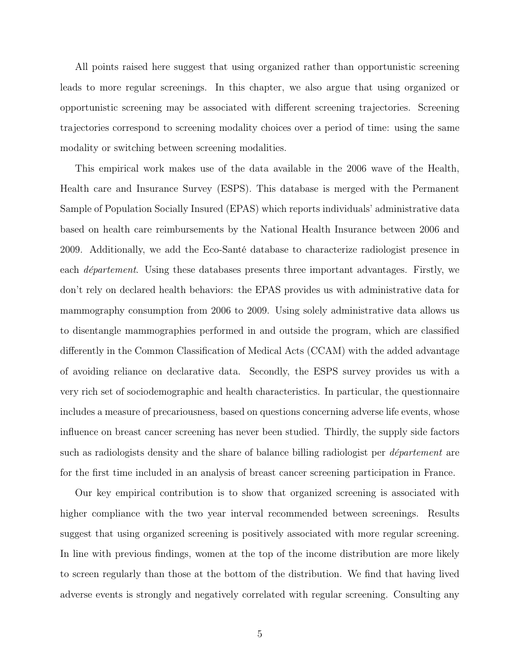All points raised here suggest that using organized rather than opportunistic screening leads to more regular screenings. In this chapter, we also argue that using organized or opportunistic screening may be associated with different screening trajectories. Screening trajectories correspond to screening modality choices over a period of time: using the same modality or switching between screening modalities.

This empirical work makes use of the data available in the 2006 wave of the Health, Health care and Insurance Survey (ESPS). This database is merged with the Permanent Sample of Population Socially Insured (EPAS) which reports individuals' administrative data based on health care reimbursements by the National Health Insurance between 2006 and 2009. Additionally, we add the Eco-Santé database to characterize radiologist presence in each *département*. Using these databases presents three important advantages. Firstly, we don't rely on declared health behaviors: the EPAS provides us with administrative data for mammography consumption from 2006 to 2009. Using solely administrative data allows us to disentangle mammographies performed in and outside the program, which are classified differently in the Common Classification of Medical Acts (CCAM) with the added advantage of avoiding reliance on declarative data. Secondly, the ESPS survey provides us with a very rich set of sociodemographic and health characteristics. In particular, the questionnaire includes a measure of precariousness, based on questions concerning adverse life events, whose influence on breast cancer screening has never been studied. Thirdly, the supply side factors such as radiologists density and the share of balance billing radiologist per *département* are for the first time included in an analysis of breast cancer screening participation in France.

Our key empirical contribution is to show that organized screening is associated with higher compliance with the two year interval recommended between screenings. Results suggest that using organized screening is positively associated with more regular screening. In line with previous findings, women at the top of the income distribution are more likely to screen regularly than those at the bottom of the distribution. We find that having lived adverse events is strongly and negatively correlated with regular screening. Consulting any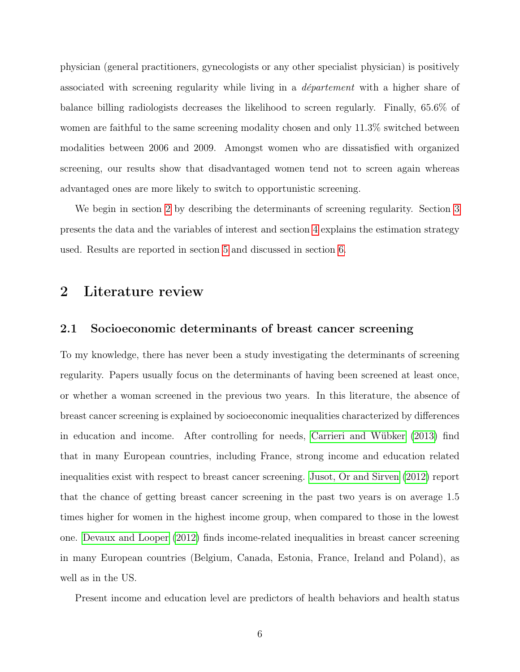<span id="page-5-1"></span>physician (general practitioners, gynecologists or any other specialist physician) is positively associated with screening regularity while living in a département with a higher share of balance billing radiologists decreases the likelihood to screen regularly. Finally, 65.6% of women are faithful to the same screening modality chosen and only 11.3% switched between modalities between 2006 and 2009. Amongst women who are dissatisfied with organized screening, our results show that disadvantaged women tend not to screen again whereas advantaged ones are more likely to switch to opportunistic screening.

We begin in section [2](#page-5-0) by describing the determinants of screening regularity. Section [3](#page-9-0) presents the data and the variables of interest and section [4](#page-16-0) explains the estimation strategy used. Results are reported in section [5](#page-23-0) and discussed in section [6.](#page-33-0)

### <span id="page-5-0"></span>2 Literature review

#### 2.1 Socioeconomic determinants of breast cancer screening

To my knowledge, there has never been a study investigating the determinants of screening regularity. Papers usually focus on the determinants of having been screened at least once, or whether a woman screened in the previous two years. In this literature, the absence of breast cancer screening is explained by socioeconomic inequalities characterized by differences in education and income. After controlling for needs, [Carrieri and Wübker](#page-36-1) [\(2013\)](#page-36-1) find that in many European countries, including France, strong income and education related inequalities exist with respect to breast cancer screening. [Jusot, Or and Sirven](#page-38-0) [\(2012\)](#page-38-0) report that the chance of getting breast cancer screening in the past two years is on average 1.5 times higher for women in the highest income group, when compared to those in the lowest one. [Devaux and Looper](#page-37-2) [\(2012\)](#page-37-2) finds income-related inequalities in breast cancer screening in many European countries (Belgium, Canada, Estonia, France, Ireland and Poland), as well as in the US.

Present income and education level are predictors of health behaviors and health status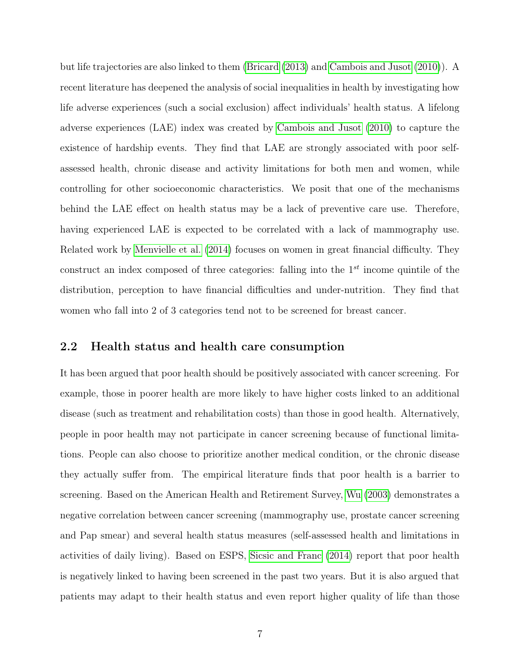<span id="page-6-0"></span>but life trajectories are also linked to them [\(Bricard](#page-36-2) [\(2013\)](#page-36-2) and [Cambois and Jusot](#page-36-3) [\(2010\)](#page-36-3)). A recent literature has deepened the analysis of social inequalities in health by investigating how life adverse experiences (such a social exclusion) affect individuals' health status. A lifelong adverse experiences (LAE) index was created by [Cambois and Jusot](#page-36-3) [\(2010\)](#page-36-3) to capture the existence of hardship events. They find that LAE are strongly associated with poor selfassessed health, chronic disease and activity limitations for both men and women, while controlling for other socioeconomic characteristics. We posit that one of the mechanisms behind the LAE effect on health status may be a lack of preventive care use. Therefore, having experienced LAE is expected to be correlated with a lack of mammography use. Related work by [Menvielle et al.](#page-38-1) [\(2014\)](#page-38-1) focuses on women in great financial difficulty. They construct an index composed of three categories: falling into the  $1<sup>st</sup>$  income quintile of the distribution, perception to have financial difficulties and under-nutrition. They find that women who fall into 2 of 3 categories tend not to be screened for breast cancer.

#### 2.2 Health status and health care consumption

It has been argued that poor health should be positively associated with cancer screening. For example, those in poorer health are more likely to have higher costs linked to an additional disease (such as treatment and rehabilitation costs) than those in good health. Alternatively, people in poor health may not participate in cancer screening because of functional limitations. People can also choose to prioritize another medical condition, or the chronic disease they actually suffer from. The empirical literature finds that poor health is a barrier to screening. Based on the American Health and Retirement Survey, [Wu](#page-40-0) [\(2003\)](#page-40-0) demonstrates a negative correlation between cancer screening (mammography use, prostate cancer screening and Pap smear) and several health status measures (self-assessed health and limitations in activities of daily living). Based on ESPS, [Sicsic and Franc](#page-39-0) [\(2014\)](#page-39-0) report that poor health is negatively linked to having been screened in the past two years. But it is also argued that patients may adapt to their health status and even report higher quality of life than those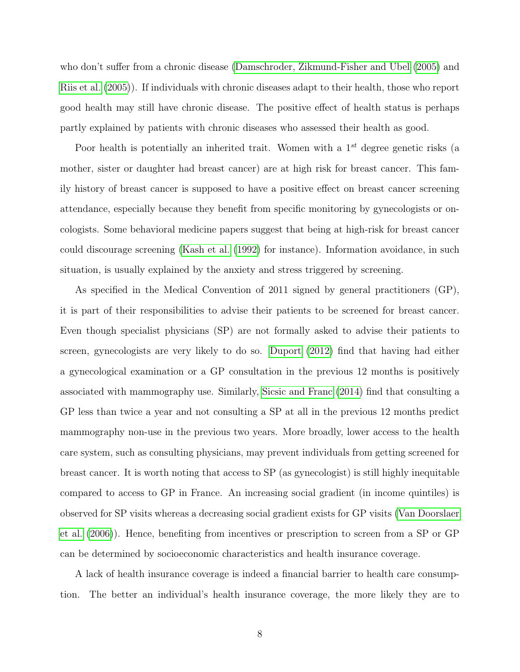<span id="page-7-0"></span>who don't suffer from a chronic disease [\(Damschroder, Zikmund-Fisher and Ubel](#page-36-4) [\(2005\)](#page-36-4) and [Riis et al.](#page-39-2) [\(2005\)](#page-39-2)). If individuals with chronic diseases adapt to their health, those who report good health may still have chronic disease. The positive effect of health status is perhaps partly explained by patients with chronic diseases who assessed their health as good.

Poor health is potentially an inherited trait. Women with a  $1^{st}$  degree genetic risks (a mother, sister or daughter had breast cancer) are at high risk for breast cancer. This family history of breast cancer is supposed to have a positive effect on breast cancer screening attendance, especially because they benefit from specific monitoring by gynecologists or oncologists. Some behavioral medicine papers suggest that being at high-risk for breast cancer could discourage screening [\(Kash et al.](#page-38-2) [\(1992\)](#page-38-2) for instance). Information avoidance, in such situation, is usually explained by the anxiety and stress triggered by screening.

As specified in the Medical Convention of 2011 signed by general practitioners (GP), it is part of their responsibilities to advise their patients to be screened for breast cancer. Even though specialist physicians (SP) are not formally asked to advise their patients to screen, gynecologists are very likely to do so. [Duport](#page-37-3) [\(2012\)](#page-37-3) find that having had either a gynecological examination or a GP consultation in the previous 12 months is positively associated with mammography use. Similarly, [Sicsic and Franc](#page-39-0) [\(2014\)](#page-39-0) find that consulting a GP less than twice a year and not consulting a SP at all in the previous 12 months predict mammography non-use in the previous two years. More broadly, lower access to the health care system, such as consulting physicians, may prevent individuals from getting screened for breast cancer. It is worth noting that access to SP (as gynecologist) is still highly inequitable compared to access to GP in France. An increasing social gradient (in income quintiles) is observed for SP visits whereas a decreasing social gradient exists for GP visits [\(Van Doorslaer](#page-39-3) [et al.](#page-39-3) [\(2006\)](#page-39-3)). Hence, benefiting from incentives or prescription to screen from a SP or GP can be determined by socioeconomic characteristics and health insurance coverage.

A lack of health insurance coverage is indeed a financial barrier to health care consumption. The better an individual's health insurance coverage, the more likely they are to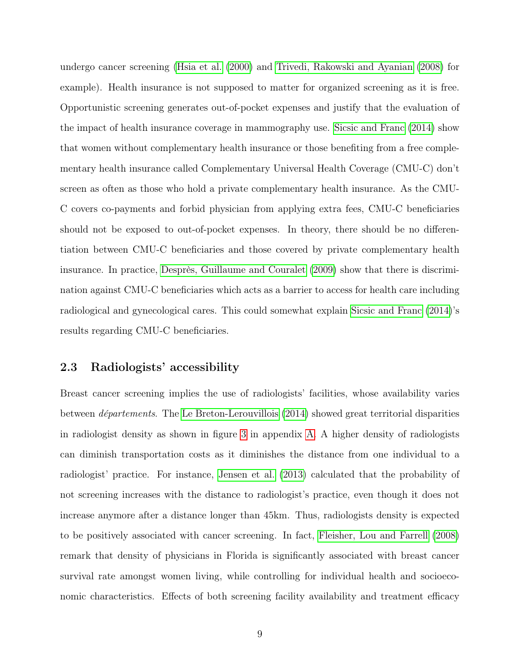<span id="page-8-0"></span>undergo cancer screening [\(Hsia et al.](#page-38-3) [\(2000\)](#page-38-3) and [Trivedi, Rakowski and Ayanian](#page-39-4) [\(2008\)](#page-39-4) for example). Health insurance is not supposed to matter for organized screening as it is free. Opportunistic screening generates out-of-pocket expenses and justify that the evaluation of the impact of health insurance coverage in mammography use. [Sicsic and Franc](#page-39-0) [\(2014\)](#page-39-0) show that women without complementary health insurance or those benefiting from a free complementary health insurance called Complementary Universal Health Coverage (CMU-C) don't screen as often as those who hold a private complementary health insurance. As the CMU-C covers co-payments and forbid physician from applying extra fees, CMU-C beneficiaries should not be exposed to out-of-pocket expenses. In theory, there should be no differentiation between CMU-C beneficiaries and those covered by private complementary health insurance. In practice, [Desprès, Guillaume and Couralet](#page-36-5) [\(2009\)](#page-36-5) show that there is discrimination against CMU-C beneficiaries which acts as a barrier to access for health care including radiological and gynecological cares. This could somewhat explain [Sicsic and Franc](#page-39-0) [\(2014\)](#page-39-0)'s results regarding CMU-C beneficiaries.

#### 2.3 Radiologists' accessibility

Breast cancer screening implies the use of radiologists' facilities, whose availability varies between départements. The [Le Breton-Lerouvillois](#page-38-4) [\(2014\)](#page-38-4) showed great territorial disparities in radiologist density as shown in figure [3](#page-41-0) in appendix [A.](#page-41-1) A higher density of radiologists can diminish transportation costs as it diminishes the distance from one individual to a radiologist' practice. For instance, [Jensen et al.](#page-38-5) [\(2013\)](#page-38-5) calculated that the probability of not screening increases with the distance to radiologist's practice, even though it does not increase anymore after a distance longer than 45km. Thus, radiologists density is expected to be positively associated with cancer screening. In fact, [Fleisher, Lou and Farrell](#page-37-4) [\(2008\)](#page-37-4) remark that density of physicians in Florida is significantly associated with breast cancer survival rate amongst women living, while controlling for individual health and socioeconomic characteristics. Effects of both screening facility availability and treatment efficacy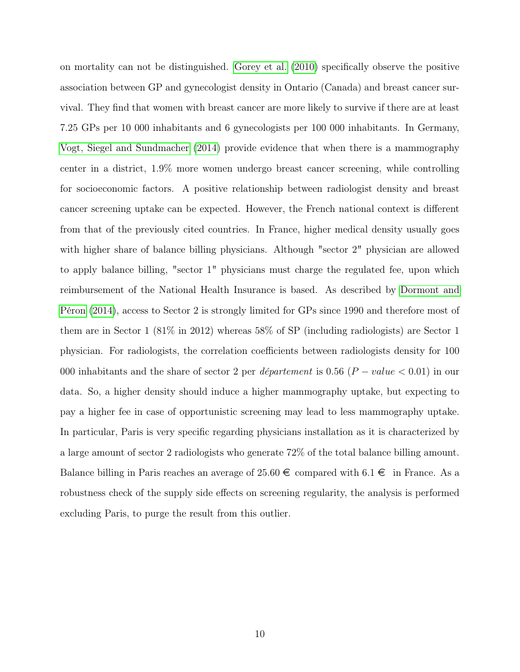<span id="page-9-1"></span><span id="page-9-0"></span>on mortality can not be distinguished. [Gorey et al.](#page-37-5) [\(2010\)](#page-37-5) specifically observe the positive association between GP and gynecologist density in Ontario (Canada) and breast cancer survival. They find that women with breast cancer are more likely to survive if there are at least 7.25 GPs per 10 000 inhabitants and 6 gynecologists per 100 000 inhabitants. In Germany, [Vogt, Siegel and Sundmacher](#page-39-5) [\(2014\)](#page-39-5) provide evidence that when there is a mammography center in a district, 1.9% more women undergo breast cancer screening, while controlling for socioeconomic factors. A positive relationship between radiologist density and breast cancer screening uptake can be expected. However, the French national context is different from that of the previously cited countries. In France, higher medical density usually goes with higher share of balance billing physicians. Although "sector 2" physician are allowed to apply balance billing, "sector 1" physicians must charge the regulated fee, upon which reimbursement of the National Health Insurance is based. As described by [Dormont and](#page-37-6) [Péron](#page-37-6) [\(2014\)](#page-37-6), access to Sector 2 is strongly limited for GPs since 1990 and therefore most of them are in Sector 1 (81% in 2012) whereas 58% of SP (including radiologists) are Sector 1 physician. For radiologists, the correlation coefficients between radiologists density for 100 000 inhabitants and the share of sector 2 per *département* is 0.56 ( $P-value < 0.01$ ) in our data. So, a higher density should induce a higher mammography uptake, but expecting to pay a higher fee in case of opportunistic screening may lead to less mammography uptake. In particular, Paris is very specific regarding physicians installation as it is characterized by a large amount of sector 2 radiologists who generate 72% of the total balance billing amount. Balance billing in Paris reaches an average of  $25.60 \in \text{compared with } 6.1 \in \text{ in France. As a}$ robustness check of the supply side effects on screening regularity, the analysis is performed excluding Paris, to purge the result from this outlier.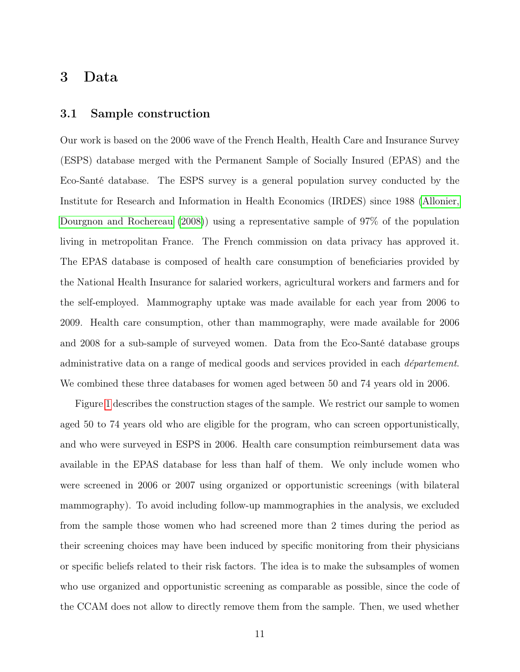### <span id="page-10-1"></span>3 Data

#### <span id="page-10-0"></span>3.1 Sample construction

Our work is based on the 2006 wave of the French Health, Health Care and Insurance Survey (ESPS) database merged with the Permanent Sample of Socially Insured (EPAS) and the Eco-Santé database. The ESPS survey is a general population survey conducted by the Institute for Research and Information in Health Economics (IRDES) since 1988 [\(Allonier,](#page-36-6) [Dourgnon and Rochereau](#page-36-6) [\(2008\)](#page-36-6)) using a representative sample of 97% of the population living in metropolitan France. The French commission on data privacy has approved it. The EPAS database is composed of health care consumption of beneficiaries provided by the National Health Insurance for salaried workers, agricultural workers and farmers and for the self-employed. Mammography uptake was made available for each year from 2006 to 2009. Health care consumption, other than mammography, were made available for 2006 and 2008 for a sub-sample of surveyed women. Data from the Eco-Santé database groups administrative data on a range of medical goods and services provided in each *département*. We combined these three databases for women aged between 50 and 74 years old in 2006.

Figure [1](#page-11-0) describes the construction stages of the sample. We restrict our sample to women aged 50 to 74 years old who are eligible for the program, who can screen opportunistically, and who were surveyed in ESPS in 2006. Health care consumption reimbursement data was available in the EPAS database for less than half of them. We only include women who were screened in 2006 or 2007 using organized or opportunistic screenings (with bilateral mammography). To avoid including follow-up mammographies in the analysis, we excluded from the sample those women who had screened more than 2 times during the period as their screening choices may have been induced by specific monitoring from their physicians or specific beliefs related to their risk factors. The idea is to make the subsamples of women who use organized and opportunistic screening as comparable as possible, since the code of the CCAM does not allow to directly remove them from the sample. Then, we used whether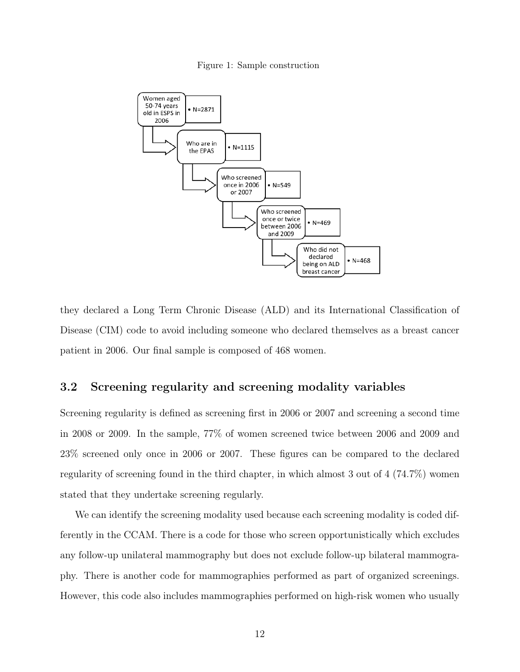Figure 1: Sample construction

<span id="page-11-0"></span>

they declared a Long Term Chronic Disease (ALD) and its International Classification of Disease (CIM) code to avoid including someone who declared themselves as a breast cancer patient in 2006. Our final sample is composed of 468 women.

#### 3.2 Screening regularity and screening modality variables

Screening regularity is defined as screening first in 2006 or 2007 and screening a second time in 2008 or 2009. In the sample, 77% of women screened twice between 2006 and 2009 and 23% screened only once in 2006 or 2007. These figures can be compared to the declared regularity of screening found in the third chapter, in which almost 3 out of 4 (74.7%) women stated that they undertake screening regularly.

We can identify the screening modality used because each screening modality is coded differently in the CCAM. There is a code for those who screen opportunistically which excludes any follow-up unilateral mammography but does not exclude follow-up bilateral mammography. There is another code for mammographies performed as part of organized screenings. However, this code also includes mammographies performed on high-risk women who usually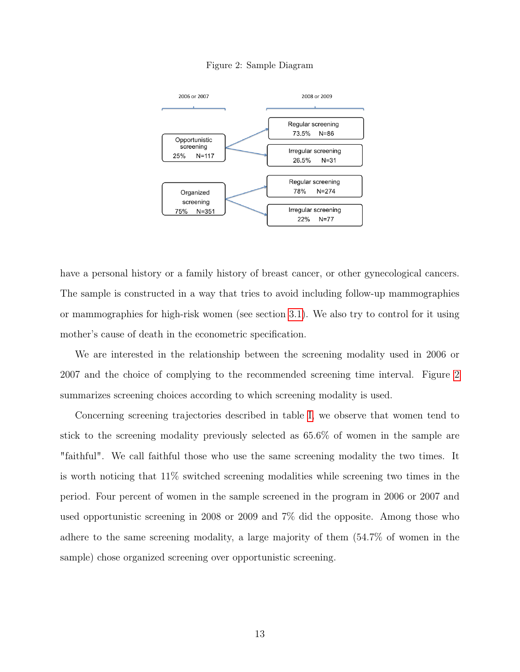#### Figure 2: Sample Diagram

<span id="page-12-0"></span>

have a personal history or a family history of breast cancer, or other gynecological cancers. The sample is constructed in a way that tries to avoid including follow-up mammographies or mammographies for high-risk women (see section [3.1\)](#page-10-0). We also try to control for it using mother's cause of death in the econometric specification.

We are interested in the relationship between the screening modality used in 2006 or 2007 and the choice of complying to the recommended screening time interval. Figure [2](#page-12-0) summarizes screening choices according to which screening modality is used.

Concerning screening trajectories described in table [I,](#page-13-0) we observe that women tend to stick to the screening modality previously selected as 65.6% of women in the sample are "faithful". We call faithful those who use the same screening modality the two times. It is worth noticing that 11% switched screening modalities while screening two times in the period. Four percent of women in the sample screened in the program in 2006 or 2007 and used opportunistic screening in 2008 or 2009 and 7% did the opposite. Among those who adhere to the same screening modality, a large majority of them (54.7% of women in the sample) chose organized screening over opportunistic screening.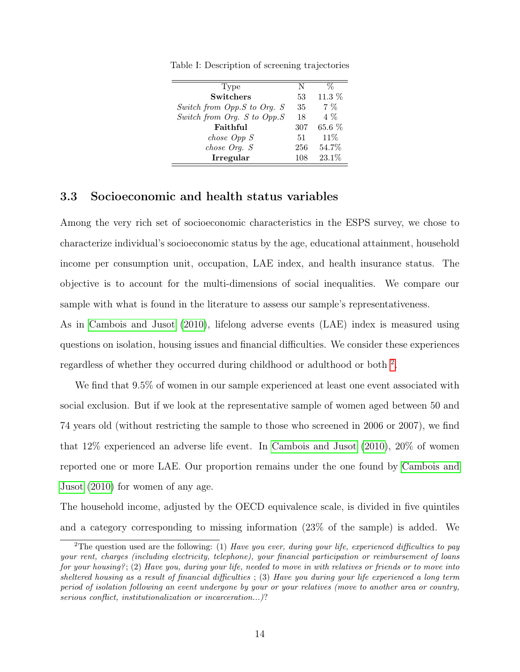| Type                        | N   |          |
|-----------------------------|-----|----------|
| <b>Switchers</b>            | 53  | 11.3 %   |
| Switch from Opp.S to Org. S | 35  | $7\%$    |
| Switch from Org. S to Opp.S | 18  | $4\%$    |
| Faithful                    | 307 | $65.6\%$ |
| $choose \; Opp \;S$         | 51  | 11%      |
| $choose$ Org. $S$           | 256 | 54.7%    |
| Irregular                   | 108 | 23.1%    |

<span id="page-13-2"></span><span id="page-13-0"></span>Table I: Description of screening trajectories

#### 3.3 Socioeconomic and health status variables

Among the very rich set of socioeconomic characteristics in the ESPS survey, we chose to characterize individual's socioeconomic status by the age, educational attainment, household income per consumption unit, occupation, LAE index, and health insurance status. The objective is to account for the multi-dimensions of social inequalities. We compare our sample with what is found in the literature to assess our sample's representativeness.

As in [Cambois and Jusot](#page-36-3) [\(2010\)](#page-36-3), lifelong adverse events (LAE) index is measured using questions on isolation, housing issues and financial difficulties. We consider these experiences regardless of whether they occurred during childhood or adulthood or both [2](#page-13-1) .

We find that 9.5% of women in our sample experienced at least one event associated with social exclusion. But if we look at the representative sample of women aged between 50 and 74 years old (without restricting the sample to those who screened in 2006 or 2007), we find that 12% experienced an adverse life event. In [Cambois and Jusot](#page-36-3) [\(2010\)](#page-36-3), 20% of women reported one or more LAE. Our proportion remains under the one found by [Cambois and](#page-36-3) [Jusot](#page-36-3) [\(2010\)](#page-36-3) for women of any age.

The household income, adjusted by the OECD equivalence scale, is divided in five quintiles and a category corresponding to missing information (23% of the sample) is added. We

<span id="page-13-1"></span><sup>&</sup>lt;sup>2</sup>The question used are the following: (1) Have you ever, during your life, experienced difficulties to pay your rent, charges (including electricity, telephone), your financial participation or reimbursement of loans for your housing?; (2) Have you, during your life, needed to move in with relatives or friends or to move into sheltered housing as a result of financial difficulties ; (3) Have you during your life experienced a long term period of isolation following an event undergone by your or your relatives (move to another area or country, serious conflict, institutionalization or incarceration...)?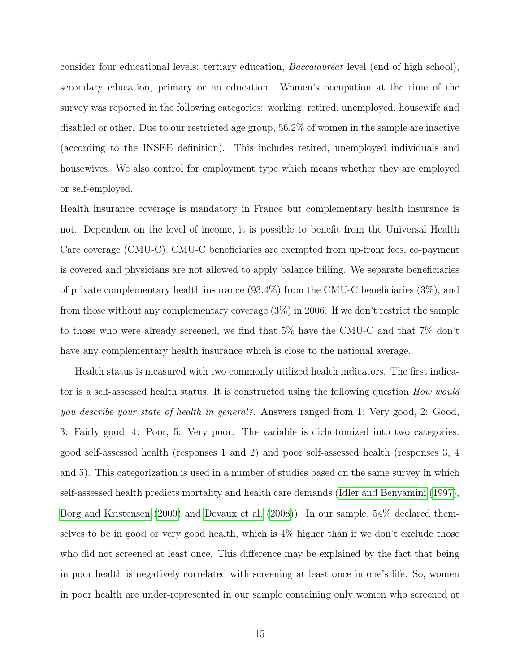<span id="page-14-0"></span>consider four educational levels: tertiary education, Baccalauréat level (end of high school), secondary education, primary or no education. Women's occupation at the time of the survey was reported in the following categories: working, retired, unemployed, housewife and disabled or other. Due to our restricted age group, 56.2% of women in the sample are inactive (according to the INSEE definition). This includes retired, unemployed individuals and housewives. We also control for employment type which means whether they are employed or self-employed.

Health insurance coverage is mandatory in France but complementary health insurance is not. Dependent on the level of income, it is possible to benefit from the Universal Health Care coverage (CMU-C). CMU-C beneficiaries are exempted from up-front fees, co-payment is covered and physicians are not allowed to apply balance billing. We separate beneficiaries of private complementary health insurance (93.4%) from the CMU-C beneficiaries (3%), and from those without any complementary coverage (3%) in 2006. If we don't restrict the sample to those who were already screened, we find that 5% have the CMU-C and that 7% don't have any complementary health insurance which is close to the national average.

Health status is measured with two commonly utilized health indicators. The first indicator is a self-assessed health status. It is constructed using the following question *How would* you describe your state of health in general?. Answers ranged from 1: Very good, 2: Good, 3: Fairly good, 4: Poor, 5: Very poor. The variable is dichotomized into two categories: good self-assessed health (responses 1 and 2) and poor self-assessed health (responses 3, 4 and 5). This categorization is used in a number of studies based on the same survey in which self-assessed health predicts mortality and health care demands [\(Idler and Benyamini](#page-38-6) [\(1997\)](#page-38-6), [Borg and Kristensen](#page-36-7) [\(2000\)](#page-36-7) and [Devaux et al.](#page-37-7) [\(2008\)](#page-37-7)). In our sample, 54% declared themselves to be in good or very good health, which is  $4\%$  higher than if we don't exclude those who did not screened at least once. This difference may be explained by the fact that being in poor health is negatively correlated with screening at least once in one's life. So, women in poor health are under-represented in our sample containing only women who screened at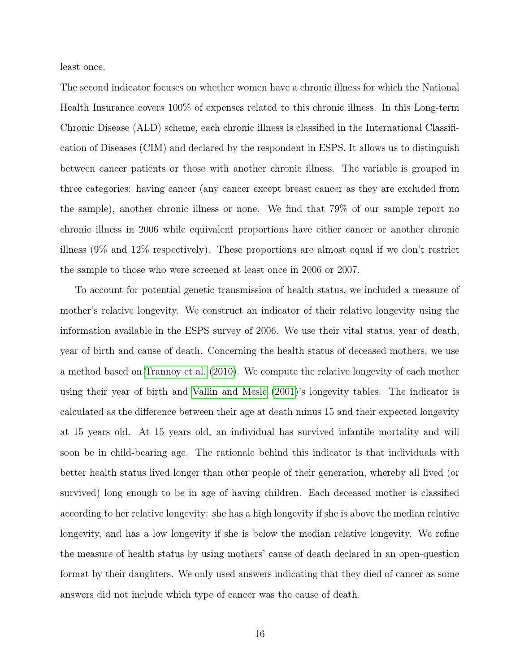<span id="page-15-0"></span>least once.

The second indicator focuses on whether women have a chronic illness for which the National Health Insurance covers 100% of expenses related to this chronic illness. In this Long-term Chronic Disease (ALD) scheme, each chronic illness is classified in the International Classification of Diseases (CIM) and declared by the respondent in ESPS. It allows us to distinguish between cancer patients or those with another chronic illness. The variable is grouped in three categories: having cancer (any cancer except breast cancer as they are excluded from the sample), another chronic illness or none. We find that 79% of our sample report no chronic illness in 2006 while equivalent proportions have either cancer or another chronic illness (9% and 12% respectively). These proportions are almost equal if we don't restrict the sample to those who were screened at least once in 2006 or 2007.

To account for potential genetic transmission of health status, we included a measure of mother's relative longevity. We construct an indicator of their relative longevity using the information available in the ESPS survey of 2006. We use their vital status, year of death, year of birth and cause of death. Concerning the health status of deceased mothers, we use a method based on [Trannoy et al.](#page-39-6) [\(2010\)](#page-39-6). We compute the relative longevity of each mother using their year of birth and [Vallin and Meslé](#page-39-7) [\(2001\)](#page-39-7)'s longevity tables. The indicator is calculated as the difference between their age at death minus 15 and their expected longevity at 15 years old. At 15 years old, an individual has survived infantile mortality and will soon be in child-bearing age. The rationale behind this indicator is that individuals with better health status lived longer than other people of their generation, whereby all lived (or survived) long enough to be in age of having children. Each deceased mother is classified according to her relative longevity: she has a high longevity if she is above the median relative longevity, and has a low longevity if she is below the median relative longevity. We refine the measure of health status by using mothers' cause of death declared in an open-question format by their daughters. We only used answers indicating that they died of cancer as some answers did not include which type of cancer was the cause of death.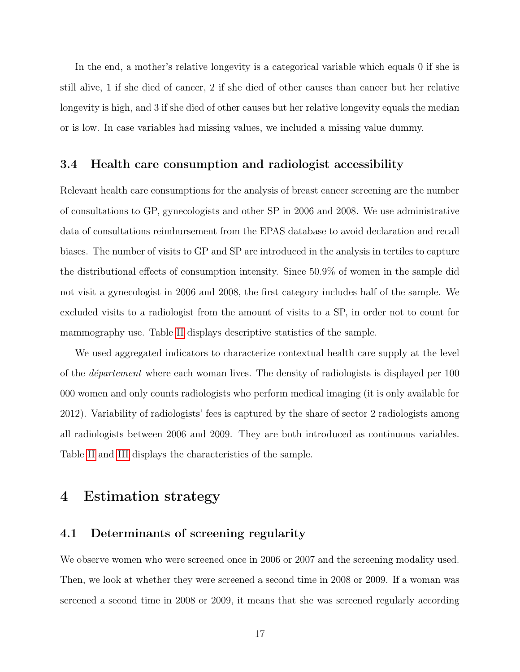In the end, a mother's relative longevity is a categorical variable which equals 0 if she is still alive, 1 if she died of cancer, 2 if she died of other causes than cancer but her relative longevity is high, and 3 if she died of other causes but her relative longevity equals the median or is low. In case variables had missing values, we included a missing value dummy.

#### 3.4 Health care consumption and radiologist accessibility

Relevant health care consumptions for the analysis of breast cancer screening are the number of consultations to GP, gynecologists and other SP in 2006 and 2008. We use administrative data of consultations reimbursement from the EPAS database to avoid declaration and recall biases. The number of visits to GP and SP are introduced in the analysis in tertiles to capture the distributional effects of consumption intensity. Since 50.9% of women in the sample did not visit a gynecologist in 2006 and 2008, the first category includes half of the sample. We excluded visits to a radiologist from the amount of visits to a SP, in order not to count for mammography use. Table [II](#page-17-0) displays descriptive statistics of the sample.

We used aggregated indicators to characterize contextual health care supply at the level of the département where each woman lives. The density of radiologists is displayed per 100 000 women and only counts radiologists who perform medical imaging (it is only available for 2012). Variability of radiologists' fees is captured by the share of sector 2 radiologists among all radiologists between 2006 and 2009. They are both introduced as continuous variables. Table [II](#page-17-0) and [III](#page-18-0) displays the characteristics of the sample.

### <span id="page-16-0"></span>4 Estimation strategy

#### 4.1 Determinants of screening regularity

We observe women who were screened once in 2006 or 2007 and the screening modality used. Then, we look at whether they were screened a second time in 2008 or 2009. If a woman was screened a second time in 2008 or 2009, it means that she was screened regularly according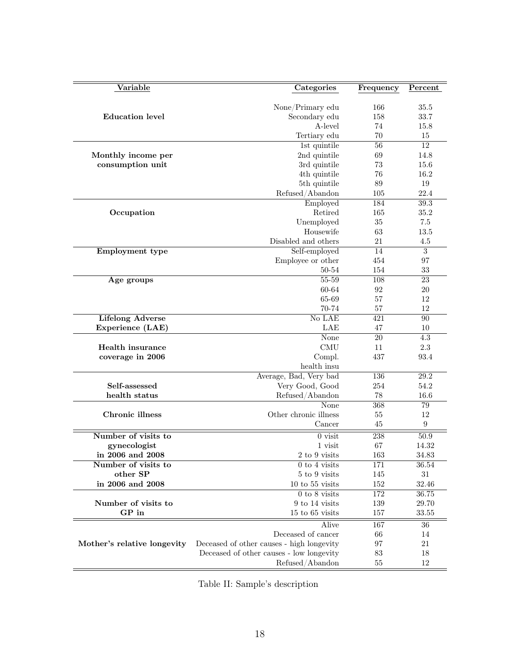<span id="page-17-0"></span>

| Variable                                | Categories                                | Frequency  | Percent            |
|-----------------------------------------|-------------------------------------------|------------|--------------------|
|                                         |                                           |            |                    |
|                                         | None/Primary edu                          | 166        | 35.5               |
| <b>Education</b> level                  | Secondary edu                             | 158        | 33.7               |
|                                         | A-level                                   | 74         | 15.8               |
|                                         | Tertiary edu                              | 70         | 15                 |
|                                         | 1st quintile<br>2nd quintile              | 56<br>69   | 12<br>14.8         |
| Monthly income per<br>consumption unit  | 3rd quintile                              | 73         | 15.6               |
|                                         | 4th quintile                              | 76         | 16.2               |
|                                         | 5th quintile                              | 89         | 19                 |
|                                         | Refused/Abandon                           | 105        | 22.4               |
|                                         | Employed                                  | 184        | 39.3               |
| Occupation                              | Retired                                   | 165        | 35.2               |
|                                         | Unemployed                                | 35         | 7.5                |
|                                         | Housewife                                 | 63         | 13.5               |
|                                         | Disabled and others                       | 21         | 4.5                |
| Employment type                         | Self-employed                             | 14         | $\overline{3}$     |
|                                         | Employee or other                         | 454        | 97                 |
|                                         | 50-54                                     | 154        | 33                 |
| Age groups                              | $55 - 59$                                 | 108        | 23                 |
|                                         | 60-64<br>65-69                            | 92<br>57   | 20<br>12           |
|                                         | 70-74                                     | 57         | 12                 |
| <b>Lifelong Adverse</b>                 | No LAE                                    | 421        | 90                 |
| Experience (LAE)                        | LAE                                       | 47         | 10                 |
|                                         | None                                      | 20         | 4.3                |
| Health insurance                        | <b>CMU</b>                                | 11         | 2.3                |
| coverage in 2006                        | Compl.                                    | 437        | 93.4               |
|                                         | health insu                               |            |                    |
|                                         | Average, Bad, Very bad                    | 136        | 29.2               |
| Self-assessed                           | Very Good, Good                           | 254        | 54.2               |
| health status                           | Refused/Abandon                           | 78         | 16.6               |
|                                         | None                                      | 368        | 79                 |
| Chronic illness                         | Other chronic illness                     | 55         | 12                 |
|                                         | Cancer                                    | 45         | $\boldsymbol{9}$   |
| Number of visits to                     | $0$ visit                                 | 238        | $50.9$             |
| gynecologist                            | 1 visit                                   | 67         | 14.32              |
| in 2006 and 2008<br>Number of visits to | 2 to 9 visits                             | 163        | $34.83\,$<br>36.54 |
| other SP                                | $0$ to $4$ visits<br>5 to 9 visits        | 171<br>145 | $31\,$             |
| in 2006 and 2008                        | $10$ to $55$ visits                       | 152        | 32.46              |
|                                         | $0$ to $8$ visits                         | 172        | 36.75              |
| Number of visits to                     | 9 to 14 visits                            | 139        | 29.70              |
| GP in                                   | $15$ to $65$ visits                       | 157        | 33.55              |
|                                         | Alive                                     | 167        | 36                 |
|                                         | Deceased of cancer                        | 66         | 14                 |
| Mother's relative longevity             | Deceased of other causes - high longevity | 97         | 21                 |
|                                         | Deceased of other causes - low longevity  | 83         | 18                 |
|                                         | Refused/Abandon                           | 55         | 12                 |
|                                         |                                           |            |                    |

Table II: Sample's description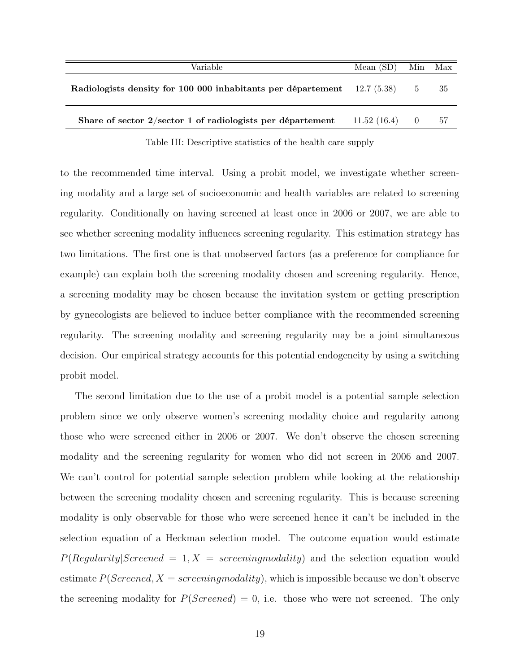<span id="page-18-0"></span>

| Variable                                                                 | Mean $(SD)$ | Min               | Max  |
|--------------------------------------------------------------------------|-------------|-------------------|------|
| Radiologists density for 100 000 inhabitants per département 12.7 (5.38) |             | 5                 | -35  |
| Share of sector $2/\text{sector } 1$ of radiologists per département     | 11.52(16.4) | $\hspace{1.6cm}0$ | - 57 |
|                                                                          |             |                   |      |

Table III: Descriptive statistics of the health care supply

to the recommended time interval. Using a probit model, we investigate whether screening modality and a large set of socioeconomic and health variables are related to screening regularity. Conditionally on having screened at least once in 2006 or 2007, we are able to see whether screening modality influences screening regularity. This estimation strategy has two limitations. The first one is that unobserved factors (as a preference for compliance for example) can explain both the screening modality chosen and screening regularity. Hence, a screening modality may be chosen because the invitation system or getting prescription by gynecologists are believed to induce better compliance with the recommended screening regularity. The screening modality and screening regularity may be a joint simultaneous decision. Our empirical strategy accounts for this potential endogeneity by using a switching probit model.

The second limitation due to the use of a probit model is a potential sample selection problem since we only observe women's screening modality choice and regularity among those who were screened either in 2006 or 2007. We don't observe the chosen screening modality and the screening regularity for women who did not screen in 2006 and 2007. We can't control for potential sample selection problem while looking at the relationship between the screening modality chosen and screening regularity. This is because screening modality is only observable for those who were screened hence it can't be included in the selection equation of a Heckman selection model. The outcome equation would estimate  $P(Regularity|Screened = 1, X = screeningmodality)$  and the selection equation would estimate  $P(Screened, X = screening modality)$ , which is impossible because we don't observe the screening modality for  $P(Screened) = 0$ , i.e. those who were not screened. The only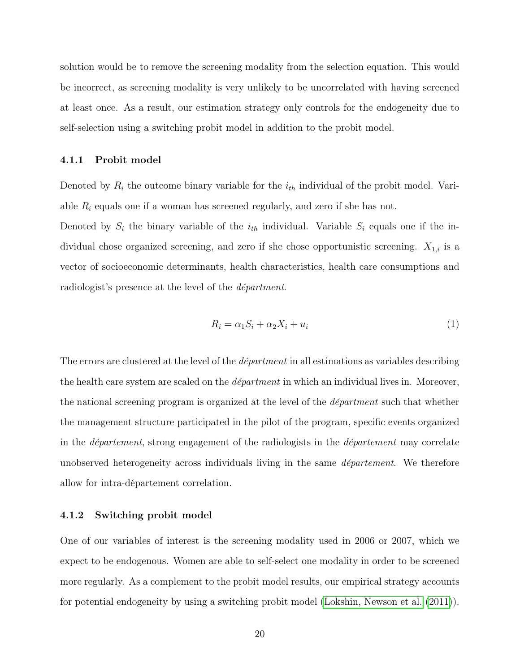<span id="page-19-1"></span>solution would be to remove the screening modality from the selection equation. This would be incorrect, as screening modality is very unlikely to be uncorrelated with having screened at least once. As a result, our estimation strategy only controls for the endogeneity due to self-selection using a switching probit model in addition to the probit model.

#### 4.1.1 Probit model

Denoted by  $R_i$  the outcome binary variable for the  $i_{th}$  individual of the probit model. Variable  $R_i$  equals one if a woman has screened regularly, and zero if she has not.

Denoted by  $S_i$  the binary variable of the  $i_{th}$  individual. Variable  $S_i$  equals one if the individual chose organized screening, and zero if she chose opportunistic screening.  $X_{1,i}$  is a vector of socioeconomic determinants, health characteristics, health care consumptions and radiologist's presence at the level of the départment.

<span id="page-19-0"></span>
$$
R_i = \alpha_1 S_i + \alpha_2 X_i + u_i \tag{1}
$$

The errors are clustered at the level of the *départment* in all estimations as variables describing the health care system are scaled on the *départment* in which an individual lives in. Moreover, the national screening program is organized at the level of the départment such that whether the management structure participated in the pilot of the program, specific events organized in the département, strong engagement of the radiologists in the département may correlate unobserved heterogeneity across individuals living in the same *département*. We therefore allow for intra-département correlation.

#### 4.1.2 Switching probit model

One of our variables of interest is the screening modality used in 2006 or 2007, which we expect to be endogenous. Women are able to self-select one modality in order to be screened more regularly. As a complement to the probit model results, our empirical strategy accounts for potential endogeneity by using a switching probit model [\(Lokshin, Newson et al.](#page-38-7) [\(2011\)](#page-38-7)).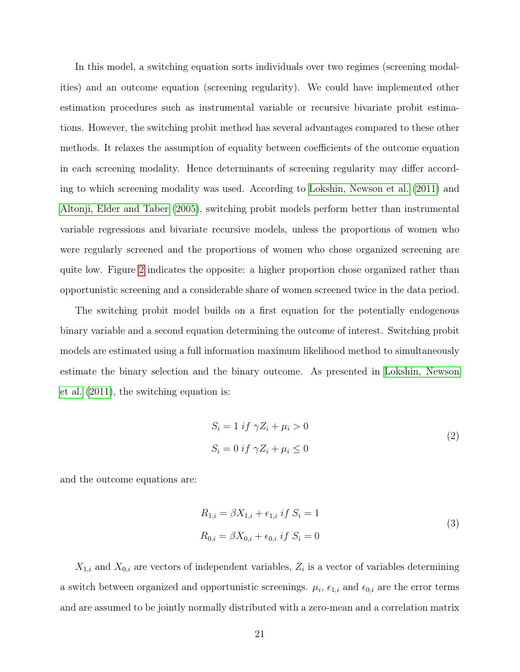<span id="page-20-0"></span>In this model, a switching equation sorts individuals over two regimes (screening modalities) and an outcome equation (screening regularity). We could have implemented other estimation procedures such as instrumental variable or recursive bivariate probit estimations. However, the switching probit method has several advantages compared to these other methods. It relaxes the assumption of equality between coefficients of the outcome equation in each screening modality. Hence determinants of screening regularity may differ according to which screening modality was used. According to [Lokshin, Newson et al.](#page-38-7) [\(2011\)](#page-38-7) and [Altonji, Elder and Taber](#page-36-8) [\(2005\)](#page-36-8), switching probit models perform better than instrumental variable regressions and bivariate recursive models, unless the proportions of women who were regularly screened and the proportions of women who chose organized screening are quite low. Figure [2](#page-12-0) indicates the opposite: a higher proportion chose organized rather than opportunistic screening and a considerable share of women screened twice in the data period.

The switching probit model builds on a first equation for the potentially endogenous binary variable and a second equation determining the outcome of interest. Switching probit models are estimated using a full information maximum likelihood method to simultaneously estimate the binary selection and the binary outcome. As presented in [Lokshin, Newson](#page-38-7) [et al.](#page-38-7) [\(2011\)](#page-38-7), the switching equation is:

$$
S_i = 1 \text{ if } \gamma Z_i + \mu_i > 0
$$
  

$$
S_i = 0 \text{ if } \gamma Z_i + \mu_i \le 0
$$
 (2)

and the outcome equations are:

$$
R_{1,i} = \beta X_{1,i} + \epsilon_{1,i} \; if \; S_i = 1
$$
  
\n
$$
R_{0,i} = \beta X_{0,i} + \epsilon_{0,i} \; if \; S_i = 0
$$
\n(3)

 $X_{1,i}$  and  $X_{0,i}$  are vectors of independent variables,  $Z_i$  is a vector of variables determining a switch between organized and opportunistic screenings.  $\mu_i$ ,  $\epsilon_{1,i}$  and  $\epsilon_{0,i}$  are the error terms and are assumed to be jointly normally distributed with a zero-mean and a correlation matrix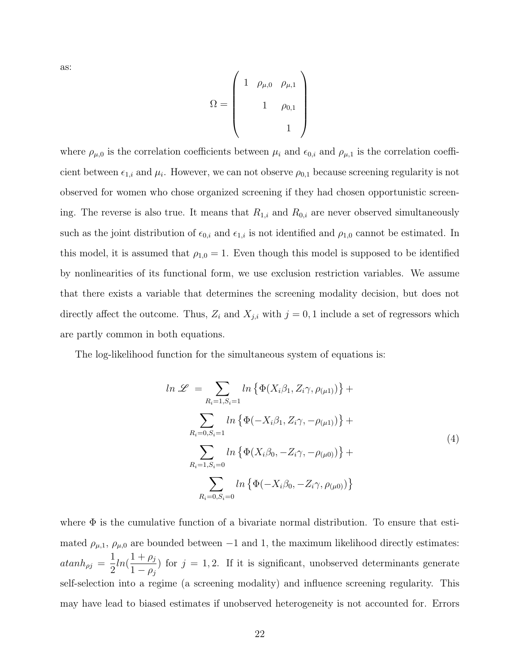as:

$$
\Omega = \left(\begin{array}{cc} 1 & \rho_{\mu,0} & \rho_{\mu,1} \\ & 1 & \rho_{0,1} \\ & & 1 \end{array}\right)
$$

where  $\rho_{\mu,0}$  is the correlation coefficients between  $\mu_i$  and  $\epsilon_{0,i}$  and  $\rho_{\mu,1}$  is the correlation coefficient between  $\epsilon_{1,i}$  and  $\mu_i$ . However, we can not observe  $\rho_{0,1}$  because screening regularity is not observed for women who chose organized screening if they had chosen opportunistic screening. The reverse is also true. It means that  $R_{1,i}$  and  $R_{0,i}$  are never observed simultaneously such as the joint distribution of  $\epsilon_{0,i}$  and  $\epsilon_{1,i}$  is not identified and  $\rho_{1,0}$  cannot be estimated. In this model, it is assumed that  $\rho_{1,0} = 1$ . Even though this model is supposed to be identified by nonlinearities of its functional form, we use exclusion restriction variables. We assume that there exists a variable that determines the screening modality decision, but does not directly affect the outcome. Thus,  $Z_i$  and  $X_{j,i}$  with  $j = 0, 1$  include a set of regressors which are partly common in both equations.

The log-likelihood function for the simultaneous system of equations is:

<span id="page-21-0"></span>
$$
ln \mathcal{L} = \sum_{R_i=1, S_i=1} ln \{ \Phi(X_i \beta_1, Z_i \gamma, \rho_{(\mu 1)}) \} +
$$
  

$$
\sum_{R_i=0, S_i=1} ln \{ \Phi(-X_i \beta_1, Z_i \gamma, -\rho_{(\mu 1)}) \} +
$$
  

$$
\sum_{R_i=1, S_i=0} ln \{ \Phi(X_i \beta_0, -Z_i \gamma, -\rho_{(\mu 0)}) \} +
$$
  

$$
\sum_{R_i=0, S_i=0} ln \{ \Phi(-X_i \beta_0, -Z_i \gamma, \rho_{(\mu 0)}) \}
$$
 (4)

where  $\Phi$  is the cumulative function of a bivariate normal distribution. To ensure that estimated  $\rho_{\mu,1}$ ,  $\rho_{\mu,0}$  are bounded between -1 and 1, the maximum likelihood directly estimates:  $atanh_{\rho j} =$ 1 2  $ln(\frac{1+\rho_j}{1})$  $1-\rho_j$ ) for  $j = 1, 2$ . If it is significant, unobserved determinants generate self-selection into a regime (a screening modality) and influence screening regularity. This may have lead to biased estimates if unobserved heterogeneity is not accounted for. Errors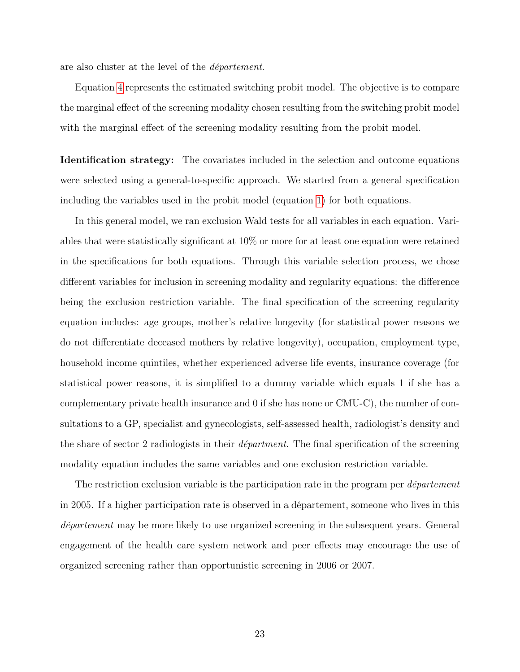are also cluster at the level of the département.

Equation [4](#page-21-0) represents the estimated switching probit model. The objective is to compare the marginal effect of the screening modality chosen resulting from the switching probit model with the marginal effect of the screening modality resulting from the probit model.

Identification strategy: The covariates included in the selection and outcome equations were selected using a general-to-specific approach. We started from a general specification including the variables used in the probit model (equation [1\)](#page-19-0) for both equations.

In this general model, we ran exclusion Wald tests for all variables in each equation. Variables that were statistically significant at 10% or more for at least one equation were retained in the specifications for both equations. Through this variable selection process, we chose different variables for inclusion in screening modality and regularity equations: the difference being the exclusion restriction variable. The final specification of the screening regularity equation includes: age groups, mother's relative longevity (for statistical power reasons we do not differentiate deceased mothers by relative longevity), occupation, employment type, household income quintiles, whether experienced adverse life events, insurance coverage (for statistical power reasons, it is simplified to a dummy variable which equals 1 if she has a complementary private health insurance and 0 if she has none or CMU-C), the number of consultations to a GP, specialist and gynecologists, self-assessed health, radiologist's density and the share of sector 2 radiologists in their *départment*. The final specification of the screening modality equation includes the same variables and one exclusion restriction variable.

The restriction exclusion variable is the participation rate in the program per *département* in 2005. If a higher participation rate is observed in a département, someone who lives in this département may be more likely to use organized screening in the subsequent years. General engagement of the health care system network and peer effects may encourage the use of organized screening rather than opportunistic screening in 2006 or 2007.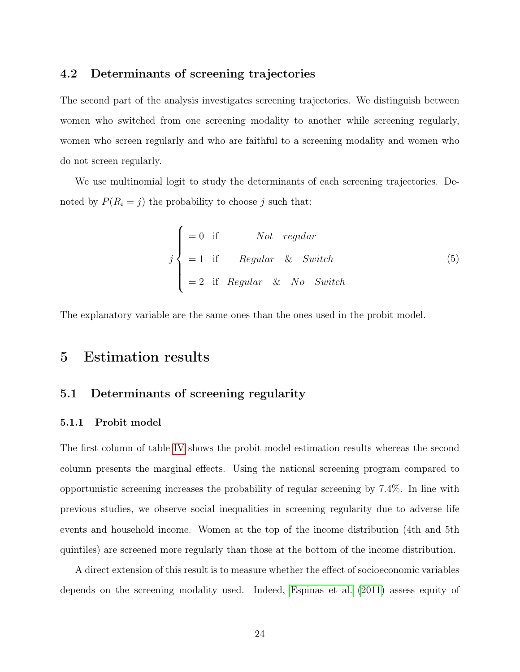#### <span id="page-23-1"></span>4.2 Determinants of screening trajectories

The second part of the analysis investigates screening trajectories. We distinguish between women who switched from one screening modality to another while screening regularly, women who screen regularly and who are faithful to a screening modality and women who do not screen regularly.

We use multinomial logit to study the determinants of each screening trajectories. Denoted by  $P(R_i = j)$  the probability to choose j such that:

$$
j \begin{cases}\n=0 \text{ if } Not regular \\
=1 \text{ if } Regular & & \text{Switch} \\
=2 \text{ if } Regular & & \text{No} \text{ Switch}\n\end{cases}
$$
\n(5)

<span id="page-23-0"></span>The explanatory variable are the same ones than the ones used in the probit model.

# 5 Estimation results

#### 5.1 Determinants of screening regularity

#### 5.1.1 Probit model

The first column of table [IV](#page-27-0) shows the probit model estimation results whereas the second column presents the marginal effects. Using the national screening program compared to opportunistic screening increases the probability of regular screening by 7.4%. In line with previous studies, we observe social inequalities in screening regularity due to adverse life events and household income. Women at the top of the income distribution (4th and 5th quintiles) are screened more regularly than those at the bottom of the income distribution.

A direct extension of this result is to measure whether the effect of socioeconomic variables depends on the screening modality used. Indeed, [Espinas et al.](#page-37-8) [\(2011\)](#page-37-8) assess equity of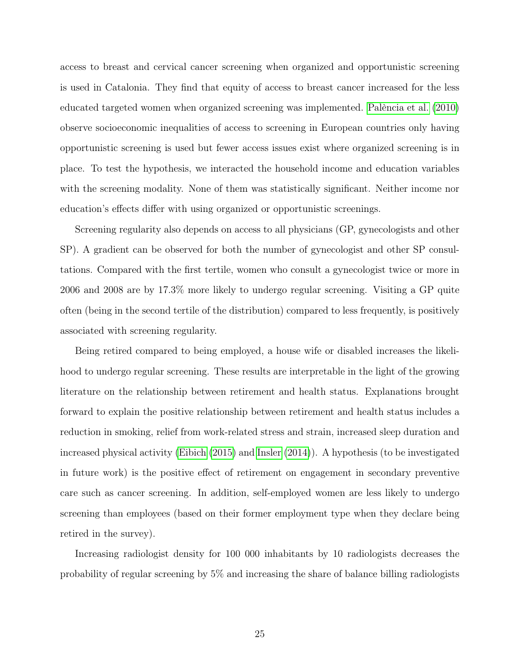<span id="page-24-0"></span>access to breast and cervical cancer screening when organized and opportunistic screening is used in Catalonia. They find that equity of access to breast cancer increased for the less educated targeted women when organized screening was implemented. [Palència et al.](#page-39-8) [\(2010\)](#page-39-8) observe socioeconomic inequalities of access to screening in European countries only having opportunistic screening is used but fewer access issues exist where organized screening is in place. To test the hypothesis, we interacted the household income and education variables with the screening modality. None of them was statistically significant. Neither income nor education's effects differ with using organized or opportunistic screenings.

Screening regularity also depends on access to all physicians (GP, gynecologists and other SP). A gradient can be observed for both the number of gynecologist and other SP consultations. Compared with the first tertile, women who consult a gynecologist twice or more in 2006 and 2008 are by 17.3% more likely to undergo regular screening. Visiting a GP quite often (being in the second tertile of the distribution) compared to less frequently, is positively associated with screening regularity.

Being retired compared to being employed, a house wife or disabled increases the likelihood to undergo regular screening. These results are interpretable in the light of the growing literature on the relationship between retirement and health status. Explanations brought forward to explain the positive relationship between retirement and health status includes a reduction in smoking, relief from work-related stress and strain, increased sleep duration and increased physical activity [\(Eibich](#page-37-9) [\(2015\)](#page-37-9) and [Insler](#page-38-8) [\(2014\)](#page-38-8)). A hypothesis (to be investigated in future work) is the positive effect of retirement on engagement in secondary preventive care such as cancer screening. In addition, self-employed women are less likely to undergo screening than employees (based on their former employment type when they declare being retired in the survey).

Increasing radiologist density for 100 000 inhabitants by 10 radiologists decreases the probability of regular screening by 5% and increasing the share of balance billing radiologists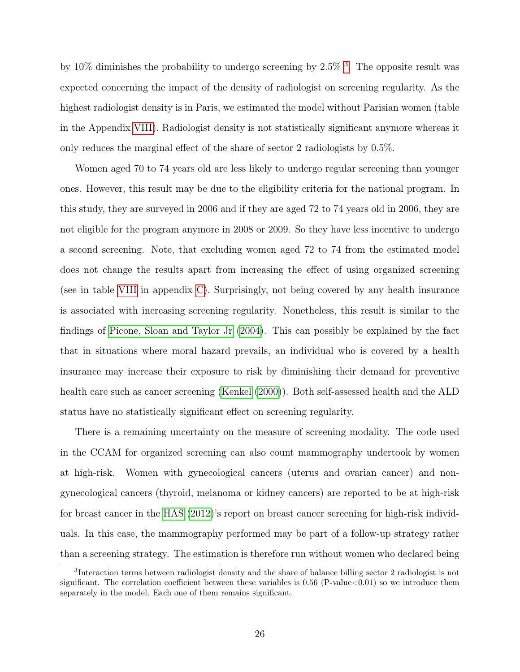<span id="page-25-1"></span>by 10% diminishes the probability to undergo screening by  $2.5\%$ <sup>[3](#page-25-0)</sup>. The opposite result was expected concerning the impact of the density of radiologist on screening regularity. As the highest radiologist density is in Paris, we estimated the model without Parisian women (table in the Appendix [VIII\)](#page-43-0). Radiologist density is not statistically significant anymore whereas it only reduces the marginal effect of the share of sector 2 radiologists by 0.5%.

Women aged 70 to 74 years old are less likely to undergo regular screening than younger ones. However, this result may be due to the eligibility criteria for the national program. In this study, they are surveyed in 2006 and if they are aged 72 to 74 years old in 2006, they are not eligible for the program anymore in 2008 or 2009. So they have less incentive to undergo a second screening. Note, that excluding women aged 72 to 74 from the estimated model does not change the results apart from increasing the effect of using organized screening (see in table [VIII](#page-43-0) in appendix [C\)](#page-43-1). Surprisingly, not being covered by any health insurance is associated with increasing screening regularity. Nonetheless, this result is similar to the findings of [Picone, Sloan and Taylor Jr](#page-39-9) [\(2004\)](#page-39-9). This can possibly be explained by the fact that in situations where moral hazard prevails, an individual who is covered by a health insurance may increase their exposure to risk by diminishing their demand for preventive health care such as cancer screening [\(Kenkel](#page-38-9) [\(2000\)](#page-38-9)). Both self-assessed health and the ALD status have no statistically significant effect on screening regularity.

There is a remaining uncertainty on the measure of screening modality. The code used in the CCAM for organized screening can also count mammography undertook by women at high-risk. Women with gynecological cancers (uterus and ovarian cancer) and nongynecological cancers (thyroid, melanoma or kidney cancers) are reported to be at high-risk for breast cancer in the [HAS](#page-37-10) [\(2012\)](#page-37-10)'s report on breast cancer screening for high-risk individuals. In this case, the mammography performed may be part of a follow-up strategy rather than a screening strategy. The estimation is therefore run without women who declared being

<span id="page-25-0"></span><sup>3</sup> Interaction terms between radiologist density and the share of balance billing sector 2 radiologist is not significant. The correlation coefficient between these variables is  $0.56$  (P-value $<0.01$ ) so we introduce them separately in the model. Each one of them remains significant.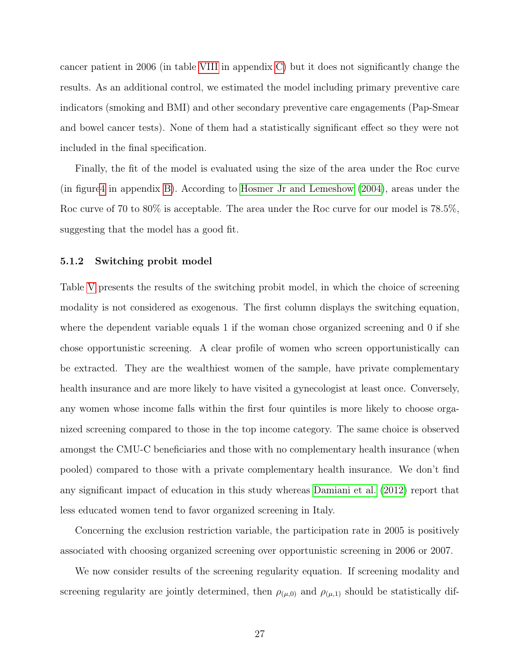<span id="page-26-0"></span>cancer patient in 2006 (in table [VIII](#page-43-0) in appendix [C\)](#page-43-1) but it does not significantly change the results. As an additional control, we estimated the model including primary preventive care indicators (smoking and BMI) and other secondary preventive care engagements (Pap-Smear and bowel cancer tests). None of them had a statistically significant effect so they were not included in the final specification.

Finally, the fit of the model is evaluated using the size of the area under the Roc curve (in figur[e4](#page-42-0) in appendix [B\)](#page-42-1). According to [Hosmer Jr and Lemeshow](#page-38-10) [\(2004\)](#page-38-10), areas under the Roc curve of 70 to 80% is acceptable. The area under the Roc curve for our model is 78.5%, suggesting that the model has a good fit.

#### 5.1.2 Switching probit model

Table [V](#page-30-0) presents the results of the switching probit model, in which the choice of screening modality is not considered as exogenous. The first column displays the switching equation, where the dependent variable equals 1 if the woman chose organized screening and 0 if she chose opportunistic screening. A clear profile of women who screen opportunistically can be extracted. They are the wealthiest women of the sample, have private complementary health insurance and are more likely to have visited a gynecologist at least once. Conversely, any women whose income falls within the first four quintiles is more likely to choose organized screening compared to those in the top income category. The same choice is observed amongst the CMU-C beneficiaries and those with no complementary health insurance (when pooled) compared to those with a private complementary health insurance. We don't find any significant impact of education in this study whereas [Damiani et al.](#page-36-9) [\(2012\)](#page-36-9) report that less educated women tend to favor organized screening in Italy.

Concerning the exclusion restriction variable, the participation rate in 2005 is positively associated with choosing organized screening over opportunistic screening in 2006 or 2007.

We now consider results of the screening regularity equation. If screening modality and screening regularity are jointly determined, then  $\rho_{(\mu,0)}$  and  $\rho_{(\mu,1)}$  should be statistically dif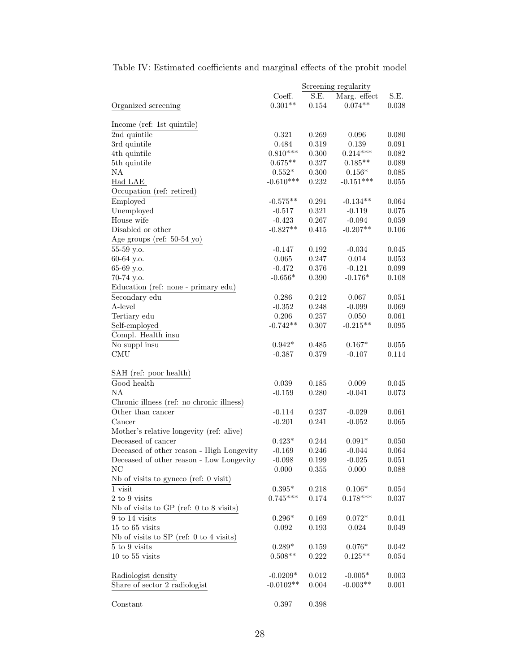<span id="page-27-0"></span>Table IV: Estimated coefficients and marginal effects of the probit model

|                                             |             |           | Screening regularity |             |
|---------------------------------------------|-------------|-----------|----------------------|-------------|
|                                             | Coeff.      | S.E.      | Marg. effect         | S.E.        |
| Organized screening                         | $0.301**$   | 0.154     | $0.074**$            | 0.038       |
|                                             |             |           |                      |             |
| Income (ref: 1st quintile)                  |             |           |                      |             |
| 2nd quintile                                | 0.321       | 0.269     | 0.096                | 0.080       |
| 3rd quintile                                | 0.484       | 0.319     | 0.139                | 0.091       |
| 4th quintile                                | $0.810***$  | 0.300     | $0.214***$           | 0.082       |
| 5th quintile                                | $0.675**$   | 0.327     | $0.185**$            | 0.089       |
| NA                                          | $0.552*$    | 0.300     | $0.156*$             | 0.085       |
| Had LAE                                     | $-0.610***$ | 0.232     | $-0.151***$          | 0.055       |
| Occupation (ref: retired)                   |             |           |                      |             |
| Employed                                    | $-0.575**$  | 0.291     | $-0.134**$           | 0.064       |
| Unemployed                                  | $-0.517$    | 0.321     | $-0.119$             | 0.075       |
| House wife                                  | $-0.423$    | 0.267     | $-0.094$             | 0.059       |
| Disabled or other                           | $-0.827**$  | 0.415     | $-0.207**$           | 0.106       |
| Age groups (ref: $50-54$ yo)                |             |           |                      |             |
| 55-59 y.o.                                  | $-0.147$    | 0.192     | $-0.034$             | 0.045       |
| 60-64 y.o.                                  | 0.065       | 0.247     | 0.014                | 0.053       |
| 65-69 y.o.                                  | $-0.472$    | 0.376     | $-0.121$             | 0.099       |
| 70-74 y.o.                                  | $-0.656*$   | 0.390     | $-0.176*$            | 0.108       |
| Education (ref: none - primary edu)         |             |           |                      |             |
| Secondary edu                               | 0.286       | 0.212     | 0.067                | 0.051       |
| A-level                                     | $-0.352$    | 0.248     | $-0.099$             | 0.069       |
| Tertiary edu                                | 0.206       | 0.257     | 0.050                | 0.061       |
| Self-employed                               | $-0.742**$  | 0.307     | $-0.215**$           | 0.095       |
| Compl. Health insu                          |             |           |                      |             |
| No suppl insu                               | $0.942*$    | 0.485     | $0.167*$             | 0.055       |
| <b>CMU</b>                                  | $-0.387$    | 0.379     | $-0.107$             | 0.114       |
|                                             |             |           |                      |             |
| SAH (ref: poor health)                      |             |           |                      |             |
| Good health                                 | 0.039       | 0.185     | 0.009                | 0.045       |
| NA                                          | $-0.159$    | 0.280     | $-0.041$             | 0.073       |
| Chronic illness (ref: no chronic illness)   |             |           |                      |             |
| Other than cancer                           | $-0.114$    | 0.237     | $-0.029$             | 0.061       |
| Cancer                                      | $-0.201$    | 0.241     | $-0.052$             | 0.065       |
| Mother's relative longevity (ref: alive)    |             |           |                      |             |
| Deceased of cancer                          | $0.423*$    | 0.244     | $0.091*$             | 0.050       |
| Deceased of other reason - High Longevity   | $-0.169$    | 0.246     | $-0.044$             | 0.064       |
| Deceased of other reason - Low Longevity    | $-0.098$    | 0.199     | $-0.025$             | $0.051\,$   |
| NC                                          | $0.000\,$   | 0.355     | 0.000                | 0.088       |
| Nb of visits to gyneco (ref: $0$ visit)     |             |           |                      |             |
| $1$ visit $\,$                              | $0.395*$    | 0.218     | $0.106*$             | 0.054       |
| 2 to 9 visits                               | $0.745***$  | 0.174     | $0.178***$           | 0.037       |
| Nb of visits to GP (ref: $0$ to $8$ visits) |             |           |                      |             |
| 9 to 14 visits                              |             |           |                      |             |
| $15$ to $65$ visits                         | $0.296*$    | 0.169     | $0.072*$             | 0.041       |
|                                             | 0.092       | 0.193     | 0.024                | 0.049       |
| Nb of visits to SP (ref: $0$ to $4$ visits) |             |           |                      |             |
| 5 to 9 visits                               | $0.289*$    | 0.159     | $0.076*$             | 0.042       |
| $10$ to $55$ visits                         | $0.508**$   | 0.222     | $0.125**$            | 0.054       |
|                                             |             |           |                      |             |
| Radiologist density                         | $-0.0209*$  | 0.012     | $-0.005*$            | $\,0.003\,$ |
| Share of sector 2 radiologist               | $-0.0102**$ | $0.004\,$ | $-0.003**$           | 0.001       |
|                                             |             |           |                      |             |
| Constant                                    | $0.397\,$   | 0.398     |                      |             |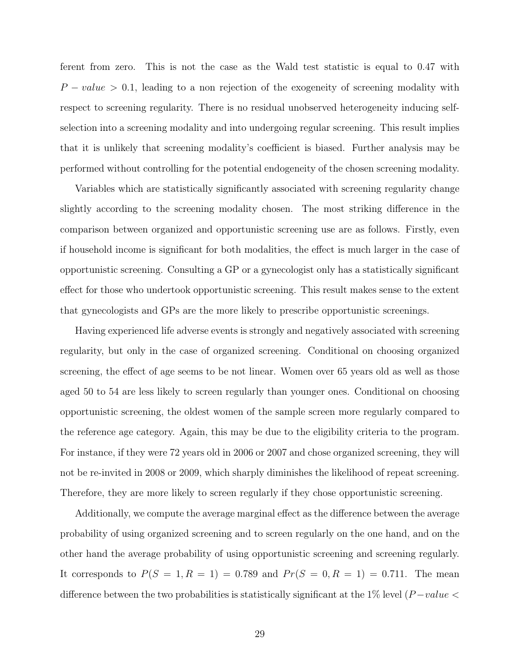ferent from zero. This is not the case as the Wald test statistic is equal to 0.47 with  $P-value > 0.1$ , leading to a non rejection of the exogeneity of screening modality with respect to screening regularity. There is no residual unobserved heterogeneity inducing selfselection into a screening modality and into undergoing regular screening. This result implies that it is unlikely that screening modality's coefficient is biased. Further analysis may be performed without controlling for the potential endogeneity of the chosen screening modality.

Variables which are statistically significantly associated with screening regularity change slightly according to the screening modality chosen. The most striking difference in the comparison between organized and opportunistic screening use are as follows. Firstly, even if household income is significant for both modalities, the effect is much larger in the case of opportunistic screening. Consulting a GP or a gynecologist only has a statistically significant effect for those who undertook opportunistic screening. This result makes sense to the extent that gynecologists and GPs are the more likely to prescribe opportunistic screenings.

Having experienced life adverse events is strongly and negatively associated with screening regularity, but only in the case of organized screening. Conditional on choosing organized screening, the effect of age seems to be not linear. Women over 65 years old as well as those aged 50 to 54 are less likely to screen regularly than younger ones. Conditional on choosing opportunistic screening, the oldest women of the sample screen more regularly compared to the reference age category. Again, this may be due to the eligibility criteria to the program. For instance, if they were 72 years old in 2006 or 2007 and chose organized screening, they will not be re-invited in 2008 or 2009, which sharply diminishes the likelihood of repeat screening. Therefore, they are more likely to screen regularly if they chose opportunistic screening.

Additionally, we compute the average marginal effect as the difference between the average probability of using organized screening and to screen regularly on the one hand, and on the other hand the average probability of using opportunistic screening and screening regularly. It corresponds to  $P(S = 1, R = 1) = 0.789$  and  $Pr(S = 0, R = 1) = 0.711$ . The mean difference between the two probabilities is statistically significant at the 1% level  $(P-value <$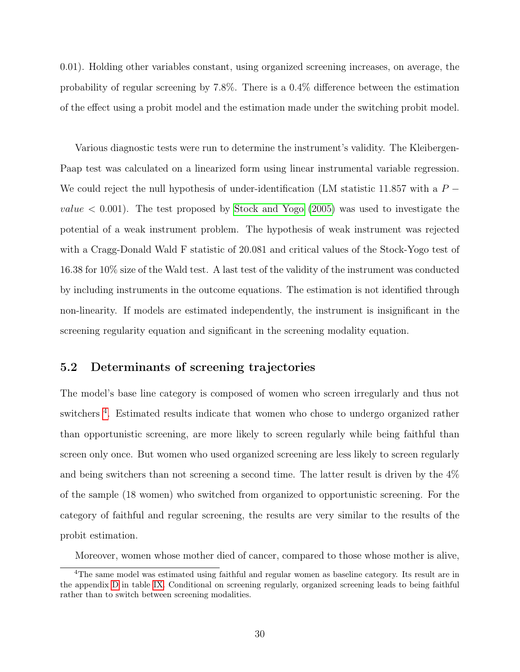<span id="page-29-1"></span>0.01). Holding other variables constant, using organized screening increases, on average, the probability of regular screening by 7.8%. There is a 0.4% difference between the estimation of the effect using a probit model and the estimation made under the switching probit model.

Various diagnostic tests were run to determine the instrument's validity. The Kleibergen-Paap test was calculated on a linearized form using linear instrumental variable regression. We could reject the null hypothesis of under-identification (LM statistic 11.857 with a  $P$  $value < 0.001$ ). The test proposed by [Stock and Yogo](#page-39-10) [\(2005\)](#page-39-10) was used to investigate the potential of a weak instrument problem. The hypothesis of weak instrument was rejected with a Cragg-Donald Wald F statistic of 20.081 and critical values of the Stock-Yogo test of 16.38 for 10% size of the Wald test. A last test of the validity of the instrument was conducted by including instruments in the outcome equations. The estimation is not identified through non-linearity. If models are estimated independently, the instrument is insignificant in the screening regularity equation and significant in the screening modality equation.

#### 5.2 Determinants of screening trajectories

The model's base line category is composed of women who screen irregularly and thus not switchers<sup>[4](#page-29-0)</sup>. Estimated results indicate that women who chose to undergo organized rather than opportunistic screening, are more likely to screen regularly while being faithful than screen only once. But women who used organized screening are less likely to screen regularly and being switchers than not screening a second time. The latter result is driven by the 4% of the sample (18 women) who switched from organized to opportunistic screening. For the category of faithful and regular screening, the results are very similar to the results of the probit estimation.

<span id="page-29-0"></span>Moreover, women whose mother died of cancer, compared to those whose mother is alive,

<sup>&</sup>lt;sup>4</sup>The same model was estimated using faithful and regular women as baseline category. Its result are in the appendix [D](#page-44-0) in table [IX.](#page-44-1) Conditional on screening regularly, organized screening leads to being faithful rather than to switch between screening modalities.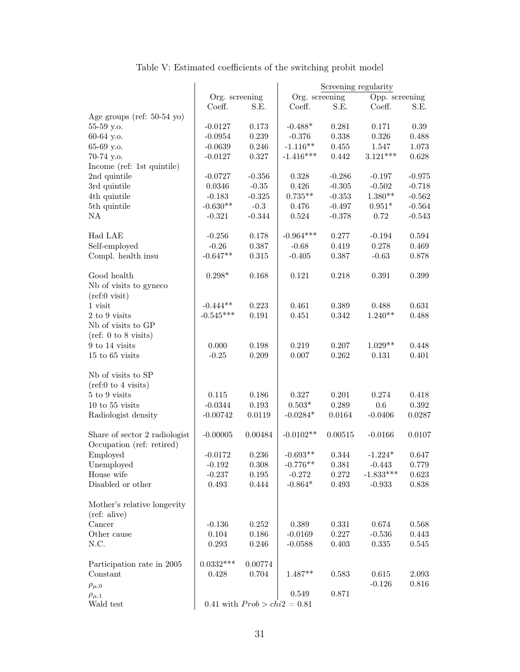<span id="page-30-0"></span>

|                                                 |                |                                | Screening regularity |          |                |          |
|-------------------------------------------------|----------------|--------------------------------|----------------------|----------|----------------|----------|
|                                                 | Org. screening |                                | Org. screening       |          | Opp. screening |          |
|                                                 | Coeff.         | S.E.                           | Coeff.               | S.E.     | Coeff.         | S.E.     |
| Age groups (ref: $50-54$ yo)                    |                |                                |                      |          |                |          |
| 55-59 y.o.                                      | $-0.0127$      | 0.173                          | $-0.488*$            | 0.281    | 0.171          | 0.39     |
| 60-64 y.o.                                      | $-0.0954$      | 0.239                          | $-0.376$             | 0.338    | 0.326          | 0.488    |
| 65-69 y.o.                                      | $-0.0639$      | 0.246                          | $-1.116**$           | 0.455    | 1.547          | 1.073    |
| 70-74 y.o.                                      | $-0.0127$      | 0.327                          | $-1.416***$          | 0.442    | $3.121***$     | 0.628    |
| Income (ref: 1st quintile)                      |                |                                |                      |          |                |          |
| 2nd quintile                                    | $-0.0727$      | $-0.356$                       | 0.328                | $-0.286$ | $-0.197$       | $-0.975$ |
| 3rd quintile                                    | 0.0346         | $-0.35$                        | 0.426                | $-0.305$ | $-0.502$       | $-0.718$ |
| 4th quintile                                    | $-0.183$       | $-0.325$                       | $0.735**$            | $-0.353$ | $1.380**$      | $-0.562$ |
| 5th quintile                                    | $-0.630**$     | $-0.3$                         | 0.476                | $-0.497$ | $0.951*$       | $-0.564$ |
| NA                                              | $-0.321$       | $-0.344$                       | 0.524                | $-0.378$ | 0.72           | $-0.543$ |
|                                                 |                |                                |                      |          |                |          |
| Had LAE                                         | $-0.256$       | 0.178                          | $-0.964***$          | 0.277    | $-0.194$       | 0.594    |
| Self-employed                                   | $-0.26$        | 0.387                          | $-0.68$              | 0.419    | 0.278          | 0.469    |
| Compl. health insu                              | $-0.647**$     | 0.315                          | $-0.405$             | 0.387    | $-0.63$        | 0.878    |
|                                                 |                |                                |                      |          |                |          |
| Good health                                     | $0.298*$       | 0.168                          | 0.121                | 0.218    | 0.391          | 0.399    |
| Nb of visits to gyneco                          |                |                                |                      |          |                |          |
| $(ref:0\text{ visit})$                          |                |                                |                      |          |                |          |
| 1 visit                                         | $-0.444**$     | 0.223                          | 0.461                | 0.389    | 0.488          | 0.631    |
| 2 to 9 visits                                   | $-0.545***$    | 0.191                          | 0.451                | 0.342    | $1.240**$      | 0.488    |
| Nb of visits to GP                              |                |                                |                      |          |                |          |
| $(\text{ref: } 0 \text{ to } 8 \text{ visits})$ |                |                                |                      |          |                |          |
| 9 to 14 visits                                  | 0.000          | 0.198                          | 0.219                | 0.207    | $1.029**$      | 0.448    |
| $15$ to $65$ visits                             | $-0.25$        | 0.209                          | $0.007\,$            | 0.262    | 0.131          | 0.401    |
|                                                 |                |                                |                      |          |                |          |
| Nb of visits to SP                              |                |                                |                      |          |                |          |
| $(\text{ref:0 to 4 visits})$                    |                |                                |                      |          |                |          |
| 5 to 9 visits                                   | 0.115          | 0.186                          | 0.327                | 0.201    | 0.274          | 0.418    |
| $10$ to $55$ visits                             | $-0.0344$      | $0.193\,$                      | $0.503^{\ast}$       | 0.289    | 0.6            | 0.392    |
| Radiologist density                             | $-0.00742$     | 0.0119                         | $-0.0284*$           | 0.0164   | $-0.0406$      | 0.0287   |
|                                                 |                |                                |                      |          |                |          |
| Share of sector 2 radiologist                   | $-0.00005$     | 0.00484                        | $-0.0102**$          | 0.00515  | $-0.0166$      | 0.0107   |
| Occupation (ref: retired)                       |                |                                |                      |          |                |          |
| Employed                                        | $-0.0172$      | 0.236                          | $-0.693**$           | 0.344    | $-1.224*$      | 0.647    |
| Unemployed                                      | $-0.192$       | $0.308\,$                      | $-0.776**$           | 0.381    | $-0.443$       | 0.779    |
| House wife                                      | $-0.237$       | $0.195\,$                      | $-0.272$             | 0.272    | $-1.833***$    | 0.623    |
| Disabled or other                               | 0.493          | 0.444                          | $-0.864*$            | 0.493    | $-0.933$       | 0.838    |
|                                                 |                |                                |                      |          |                |          |
| Mother's relative longevity                     |                |                                |                      |          |                |          |
| (ref: alive)                                    |                |                                |                      |          |                |          |
| Cancer                                          | $-0.136$       | 0.252                          | 0.389                | 0.331    | 0.674          | 0.568    |
| Other cause                                     | 0.104          | 0.186                          | $-0.0169$            | 0.227    | $-0.536$       | 0.443    |
| N.C.                                            | 0.293          | 0.246                          | $-0.0588$            | 0.403    | 0.335          | 0.545    |
|                                                 |                |                                |                      |          |                |          |
| Participation rate in 2005                      | $0.0332***$    | 0.00774                        |                      |          |                |          |
| Constant                                        | 0.428          | 0.704                          | $1.487**$            | 0.583    | 0.615          | 2.093    |
|                                                 |                |                                |                      |          | $-0.126$       | 0.816    |
| $\rho_{\mu,0}$                                  |                |                                | 0.549                | 0.871    |                |          |
| $\rho_{\mu,1}$<br>Wald test                     |                |                                |                      |          |                |          |
|                                                 |                | 0.41 with $Prob > chi2 = 0.81$ |                      |          |                |          |

### Table V: Estimated coefficients of the switching probit model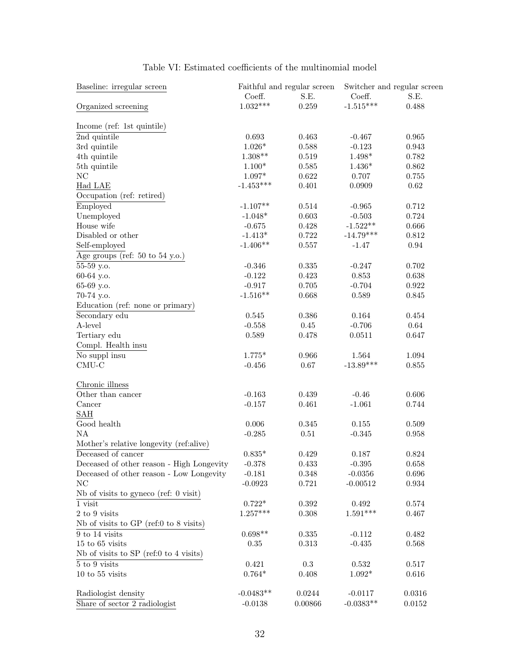| Baseline: irregular screen                |             | Faithful and regular screen | Switcher and regular screen |           |  |
|-------------------------------------------|-------------|-----------------------------|-----------------------------|-----------|--|
|                                           | Coeff.      | S.E.                        | Coeff.                      | S.E.      |  |
| Organized screening                       | $1.032***$  | 0.259                       | $-1.515***$                 | 0.488     |  |
| Income (ref: 1st quintile)                |             |                             |                             |           |  |
| 2nd quintile                              | 0.693       | 0.463                       | $-0.467$                    | 0.965     |  |
| 3rd quintile                              | $1.026*$    | 0.588                       | $-0.123$                    | 0.943     |  |
| 4th quintile                              | $1.308**$   | 0.519                       | $1.498*$                    | 0.782     |  |
| 5th quintile                              | $1.100*$    | 0.585                       | $1.436*$                    | 0.862     |  |
| $\rm NC$                                  | $1.097*$    | 0.622                       | 0.707                       | 0.755     |  |
| Had LAE                                   | $-1.453***$ | 0.401                       | 0.0909                      | 0.62      |  |
| Occupation (ref: retired)                 |             |                             |                             |           |  |
| Employed                                  | $-1.107**$  | 0.514                       | $-0.965$                    | 0.712     |  |
| Unemployed                                | $-1.048*$   | 0.603                       | $-0.503$                    | 0.724     |  |
| House wife                                | $-0.675$    | 0.428                       | $-1.522**$                  | 0.666     |  |
| Disabled or other                         | $-1.413*$   | 0.722                       | $-14.79***$                 | 0.812     |  |
| Self-employed                             | $-1.406**$  | 0.557                       | $-1.47$                     | 0.94      |  |
| Age groups (ref: $50$ to $54$ y.o.)       |             |                             |                             |           |  |
| 55-59 y.o.                                | $-0.346$    | 0.335                       | $-0.247$                    | 0.702     |  |
| 60-64 y.o.                                | $-0.122$    | 0.423                       | 0.853                       | 0.638     |  |
| 65-69 y.o.                                | $-0.917$    | 0.705                       | $-0.704$                    | 0.922     |  |
| 70-74 y.o.                                | $-1.516**$  | 0.668                       | 0.589                       | 0.845     |  |
| Education (ref: none or primary)          |             |                             |                             |           |  |
| Secondary edu                             | $\!0.545$   | 0.386                       | 0.164                       | 0.454     |  |
| A-level                                   | $-0.558$    | $0.45\,$                    | $-0.706$                    | 0.64      |  |
| Tertiary edu                              | 0.589       | 0.478                       | 0.0511                      | 0.647     |  |
| Compl. Health insu                        |             |                             |                             |           |  |
| $\overline{\text{No}}$ suppl insu         | $1.775*$    | 0.966                       | 1.564                       | 1.094     |  |
| $CMU-C$                                   | $-0.456$    | 0.67                        | $-13.89***$                 | $0.855\,$ |  |
| Chronic illness                           |             |                             |                             |           |  |
| Other than cancer                         | $-0.163$    | 0.439                       | $-0.46$                     | 0.606     |  |
| Cancer                                    | $-0.157$    | 0.461                       | $-1.061$                    | 0.744     |  |
| SAH                                       |             |                             |                             |           |  |
| Good health                               | 0.006       | 0.345                       | 0.155                       | 0.509     |  |
| NA                                        | $-0.285$    | $0.51\,$                    | $-0.345$                    | 0.958     |  |
| Mother's relative longevity (ref:alive)   |             |                             |                             |           |  |
| Deceased of cancer                        | $0.835*$    | 0.429                       | 0.187                       | 0.824     |  |
| Deceased of other reason - High Longevity | -0.378      | 0.433                       | $-0.395$                    | 0.658     |  |
| Deceased of other reason - Low Longevity  | $-0.181$    | 0.348                       | $-0.0356$                   | 0.696     |  |
| NC                                        | $-0.0923$   | 0.721                       | $-0.00512$                  | 0.934     |  |
| Nb of visits to gyneco (ref: $0$ visit)   |             |                             |                             |           |  |
| $1$ visit $\,$                            | $0.722*$    | 0.392                       | $\,0.492\,$                 | 0.574     |  |
| 2 to 9 visits                             | $1.257***$  | 0.308                       | $1.591***$                  | 0.467     |  |
| Nb of visits to GP (ref:0 to 8 visits)    |             |                             |                             |           |  |
| 9 to 14 visits                            | $0.698**$   | 0.335                       | $-0.112$                    | 0.482     |  |
| $15$ to $65$ visits                       | 0.35        | 0.313                       | $-0.435$                    | 0.568     |  |
| Nb of visits to SP (ref:0 to 4 visits)    |             |                             |                             |           |  |
| 5 to 9 visits                             | 0.421       | 0.3                         | 0.532                       | 0.517     |  |
| $10$ to $55$ visits                       | $0.764*$    | 0.408                       | $1.092*$                    | 0.616     |  |
| Radiologist density                       | $-0.0483**$ | 0.0244                      | $-0.0117$                   | 0.0316    |  |
| Share of sector 2 radiologist             | $-0.0138$   | 0.00866                     | $-0.0383**$                 | 0.0152    |  |

#### Table VI: Estimated coefficients of the multinomial model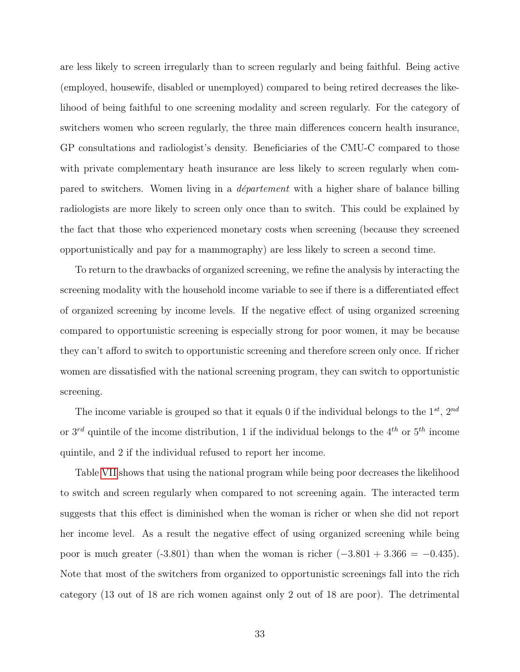are less likely to screen irregularly than to screen regularly and being faithful. Being active (employed, housewife, disabled or unemployed) compared to being retired decreases the likelihood of being faithful to one screening modality and screen regularly. For the category of switchers women who screen regularly, the three main differences concern health insurance, GP consultations and radiologist's density. Beneficiaries of the CMU-C compared to those with private complementary heath insurance are less likely to screen regularly when compared to switchers. Women living in a département with a higher share of balance billing radiologists are more likely to screen only once than to switch. This could be explained by the fact that those who experienced monetary costs when screening (because they screened opportunistically and pay for a mammography) are less likely to screen a second time.

To return to the drawbacks of organized screening, we refine the analysis by interacting the screening modality with the household income variable to see if there is a differentiated effect of organized screening by income levels. If the negative effect of using organized screening compared to opportunistic screening is especially strong for poor women, it may be because they can't afford to switch to opportunistic screening and therefore screen only once. If richer women are dissatisfied with the national screening program, they can switch to opportunistic screening.

The income variable is grouped so that it equals 0 if the individual belongs to the  $1^{st}$ ,  $2^{nd}$ or  $3^{rd}$  quintile of the income distribution, 1 if the individual belongs to the  $4^{th}$  or  $5^{th}$  income quintile, and 2 if the individual refused to report her income.

Table [VII](#page-33-1) shows that using the national program while being poor decreases the likelihood to switch and screen regularly when compared to not screening again. The interacted term suggests that this effect is diminished when the woman is richer or when she did not report her income level. As a result the negative effect of using organized screening while being poor is much greater (-3.801) than when the woman is richer  $(-3.801 + 3.366 = -0.435)$ . Note that most of the switchers from organized to opportunistic screenings fall into the rich category (13 out of 18 are rich women against only 2 out of 18 are poor). The detrimental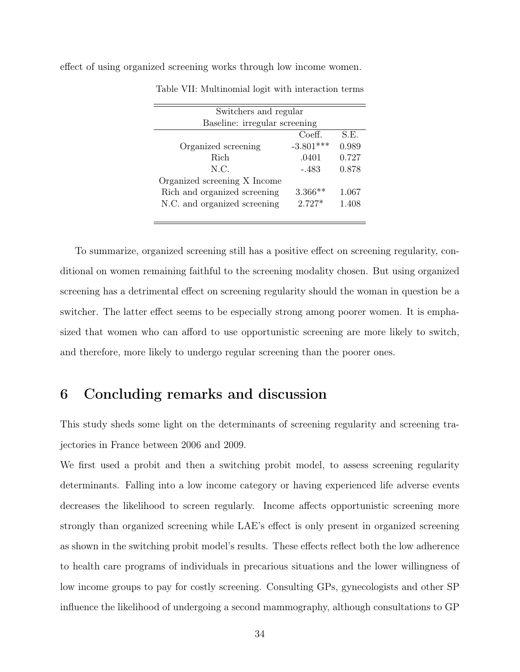| Switchers and regular         |             |       |  |  |  |
|-------------------------------|-------------|-------|--|--|--|
| Baseline: irregular screening |             |       |  |  |  |
|                               | Coeff.      | S.E.  |  |  |  |
| Organized screening           | $-3.801***$ | 0.989 |  |  |  |
| Rich                          | .0401       | 0.727 |  |  |  |
| N.C.                          | -.483       | 0.878 |  |  |  |
| Organized screening X Income  |             |       |  |  |  |
| Rich and organized screening  | $3.366**$   | 1.067 |  |  |  |
| N.C. and organized screening  | $2.727*$    | 1.408 |  |  |  |
|                               |             |       |  |  |  |

<span id="page-33-1"></span>effect of using organized screening works through low income women.

Table VII: Multinomial logit with interaction terms

To summarize, organized screening still has a positive effect on screening regularity, conditional on women remaining faithful to the screening modality chosen. But using organized screening has a detrimental effect on screening regularity should the woman in question be a switcher. The latter effect seems to be especially strong among poorer women. It is emphasized that women who can afford to use opportunistic screening are more likely to switch, and therefore, more likely to undergo regular screening than the poorer ones.

### <span id="page-33-0"></span>6 Concluding remarks and discussion

This study sheds some light on the determinants of screening regularity and screening trajectories in France between 2006 and 2009.

We first used a probit and then a switching probit model, to assess screening regularity determinants. Falling into a low income category or having experienced life adverse events decreases the likelihood to screen regularly. Income affects opportunistic screening more strongly than organized screening while LAE's effect is only present in organized screening as shown in the switching probit model's results. These effects reflect both the low adherence to health care programs of individuals in precarious situations and the lower willingness of low income groups to pay for costly screening. Consulting GPs, gynecologists and other SP influence the likelihood of undergoing a second mammography, although consultations to GP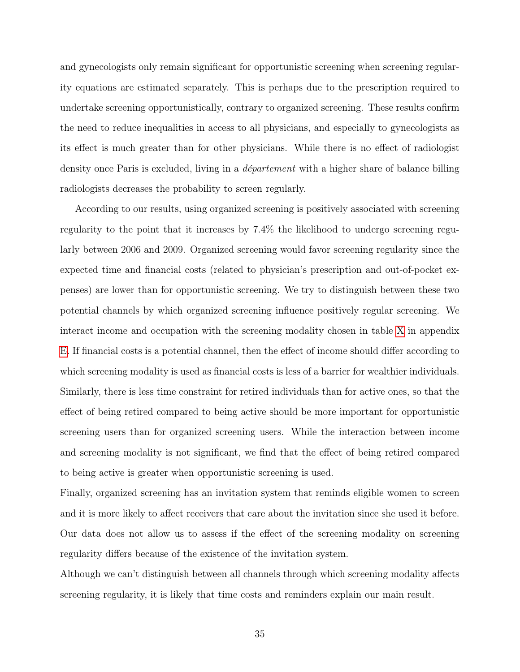and gynecologists only remain significant for opportunistic screening when screening regularity equations are estimated separately. This is perhaps due to the prescription required to undertake screening opportunistically, contrary to organized screening. These results confirm the need to reduce inequalities in access to all physicians, and especially to gynecologists as its effect is much greater than for other physicians. While there is no effect of radiologist density once Paris is excluded, living in a département with a higher share of balance billing radiologists decreases the probability to screen regularly.

According to our results, using organized screening is positively associated with screening regularity to the point that it increases by 7.4% the likelihood to undergo screening regularly between 2006 and 2009. Organized screening would favor screening regularity since the expected time and financial costs (related to physician's prescription and out-of-pocket expenses) are lower than for opportunistic screening. We try to distinguish between these two potential channels by which organized screening influence positively regular screening. We interact income and occupation with the screening modality chosen in table [X](#page-45-0) in appendix [E.](#page-45-1) If financial costs is a potential channel, then the effect of income should differ according to which screening modality is used as financial costs is less of a barrier for wealthier individuals. Similarly, there is less time constraint for retired individuals than for active ones, so that the effect of being retired compared to being active should be more important for opportunistic screening users than for organized screening users. While the interaction between income and screening modality is not significant, we find that the effect of being retired compared to being active is greater when opportunistic screening is used.

Finally, organized screening has an invitation system that reminds eligible women to screen and it is more likely to affect receivers that care about the invitation since she used it before. Our data does not allow us to assess if the effect of the screening modality on screening regularity differs because of the existence of the invitation system.

Although we can't distinguish between all channels through which screening modality affects screening regularity, it is likely that time costs and reminders explain our main result.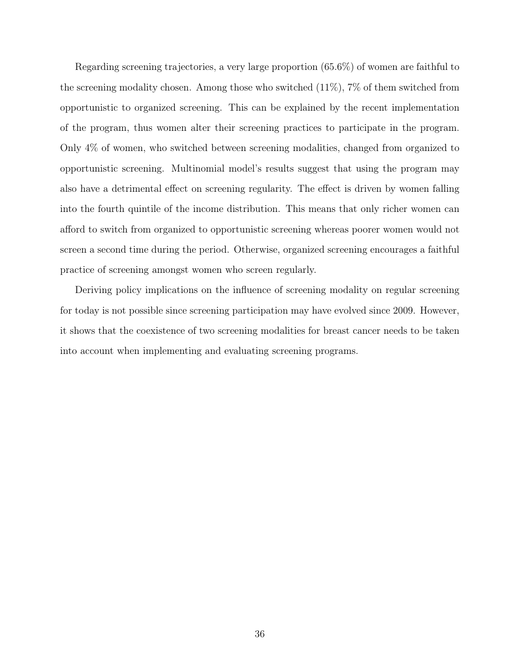Regarding screening trajectories, a very large proportion (65.6%) of women are faithful to the screening modality chosen. Among those who switched  $(11\%)$ , 7% of them switched from opportunistic to organized screening. This can be explained by the recent implementation of the program, thus women alter their screening practices to participate in the program. Only 4% of women, who switched between screening modalities, changed from organized to opportunistic screening. Multinomial model's results suggest that using the program may also have a detrimental effect on screening regularity. The effect is driven by women falling into the fourth quintile of the income distribution. This means that only richer women can afford to switch from organized to opportunistic screening whereas poorer women would not screen a second time during the period. Otherwise, organized screening encourages a faithful practice of screening amongst women who screen regularly.

Deriving policy implications on the influence of screening modality on regular screening for today is not possible since screening participation may have evolved since 2009. However, it shows that the coexistence of two screening modalities for breast cancer needs to be taken into account when implementing and evaluating screening programs.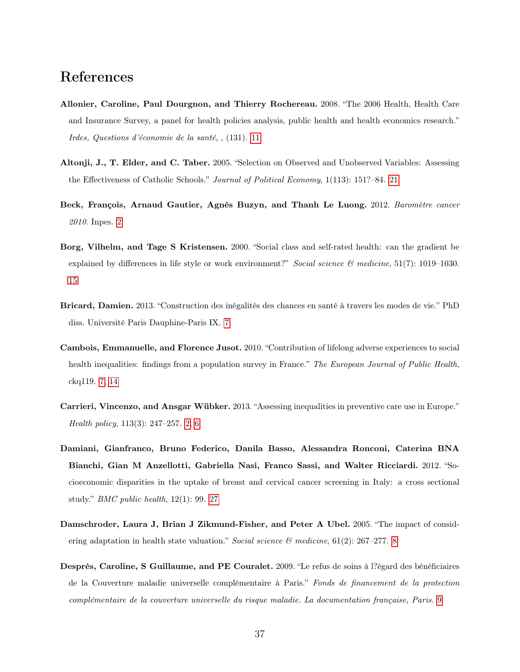# References

- <span id="page-36-6"></span>Allonier, Caroline, Paul Dourgnon, and Thierry Rochereau. 2008. "The 2006 Health, Health Care and Insurance Survey, a panel for health policies analysis, public health and health economics research." Irdes, Questions d'économie de la santé, , (131). [11](#page-10-1)
- <span id="page-36-8"></span>Altonji, J., T. Elder, and C. Taber. 2005. "Selection on Observed and Unobserved Variables: Assessing the Effectiveness of Catholic Schools." Journal of Political Economy, 1(113): 151?–84. [21](#page-20-0)
- <span id="page-36-0"></span>Beck, François, Arnaud Gautier, Agnès Buzyn, and Thanh Le Luong. 2012. Baromètre cancer 2010. Inpes. [2](#page-1-0)
- <span id="page-36-7"></span>Borg, Vilhelm, and Tage S Kristensen. 2000. "Social class and self-rated health: can the gradient be explained by differences in life style or work environment?" Social science  $\mathcal{B}$  medicine, 51(7): 1019–1030. [15](#page-14-0)
- <span id="page-36-2"></span>Bricard, Damien. 2013. "Construction des inégalités des chances en santé à travers les modes de vie." PhD diss. Université Paris Dauphine-Paris IX. [7](#page-6-0)
- <span id="page-36-3"></span>Cambois, Emmanuelle, and Florence Jusot. 2010. "Contribution of lifelong adverse experiences to social health inequalities: findings from a population survey in France." The European Journal of Public Health, ckq119. [7,](#page-6-0) [14](#page-13-2)
- <span id="page-36-1"></span>Carrieri, Vincenzo, and Ansgar Wübker. 2013. "Assessing inequalities in preventive care use in Europe." Health policy, 113(3): 247–257. [2,](#page-1-0) [6](#page-5-1)
- <span id="page-36-9"></span>Damiani, Gianfranco, Bruno Federico, Danila Basso, Alessandra Ronconi, Caterina BNA Bianchi, Gian M Anzellotti, Gabriella Nasi, Franco Sassi, and Walter Ricciardi. 2012. "Socioeconomic disparities in the uptake of breast and cervical cancer screening in Italy: a cross sectional study." BMC public health, 12(1): 99. [27](#page-26-0)
- <span id="page-36-4"></span>Damschroder, Laura J, Brian J Zikmund-Fisher, and Peter A Ubel. 2005. "The impact of considering adaptation in health state valuation." Social science  $\mathcal{B}$  medicine, 61(2): 267–277. [8](#page-7-0)
- <span id="page-36-5"></span>Desprès, Caroline, S Guillaume, and PE Couralet. 2009. "Le refus de soins à l?égard des bénéficiaires de la Couverture maladie universelle complémentaire à Paris." Fonds de financement de la protection complémentaire de la couverture universelle du risque maladie. La documentation française, Paris. [9](#page-8-0)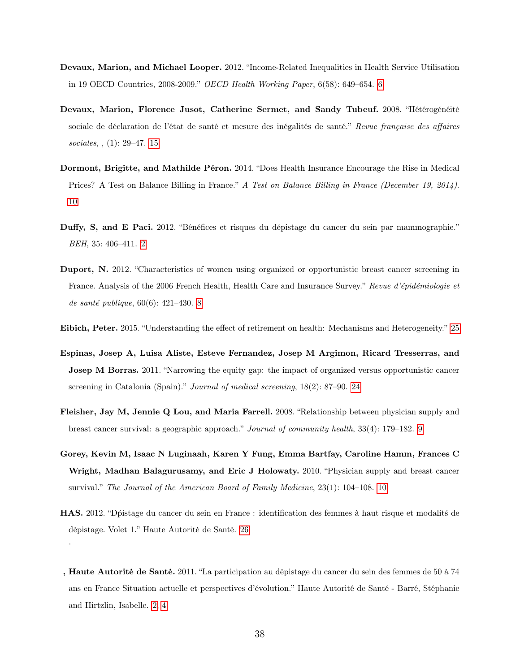- <span id="page-37-2"></span>Devaux, Marion, and Michael Looper. 2012. "Income-Related Inequalities in Health Service Utilisation in 19 OECD Countries, 2008-2009." OECD Health Working Paper, 6(58): 649–654. [6](#page-5-1)
- <span id="page-37-7"></span>Devaux, Marion, Florence Jusot, Catherine Sermet, and Sandy Tubeuf. 2008. "Hétérogénéité sociale de déclaration de l'état de santé et mesure des inégalités de santé." Revue française des affaires sociales, , (1): 29–47. [15](#page-14-0)
- <span id="page-37-6"></span>Dormont, Brigitte, and Mathilde Péron. 2014. "Does Health Insurance Encourage the Rise in Medical Prices? A Test on Balance Billing in France." A Test on Balance Billing in France (December 19, 2014). [10](#page-9-1)
- <span id="page-37-0"></span>Duffy, S, and E Paci. 2012. "Bénéfices et risques du dépistage du cancer du sein par mammographie." BEH, 35: 406–411. [2](#page-1-0)
- <span id="page-37-3"></span>Duport, N. 2012. "Characteristics of women using organized or opportunistic breast cancer screening in France. Analysis of the 2006 French Health, Health Care and Insurance Survey." Revue d'épidémiologie et de santé publique, 60(6): 421–430. [8](#page-7-0)
- <span id="page-37-9"></span>Eibich, Peter. 2015. "Understanding the effect of retirement on health: Mechanisms and Heterogeneity." [25](#page-24-0)
- <span id="page-37-8"></span>Espinas, Josep A, Luisa Aliste, Esteve Fernandez, Josep M Argimon, Ricard Tresserras, and Josep M Borras. 2011. "Narrowing the equity gap: the impact of organized versus opportunistic cancer screening in Catalonia (Spain)." Journal of medical screening, 18(2): 87–90. [24](#page-23-1)
- <span id="page-37-4"></span>Fleisher, Jay M, Jennie Q Lou, and Maria Farrell. 2008. "Relationship between physician supply and breast cancer survival: a geographic approach." Journal of community health, 33(4): 179–182. [9](#page-8-0)
- <span id="page-37-5"></span>Gorey, Kevin M, Isaac N Luginaah, Karen Y Fung, Emma Bartfay, Caroline Hamm, Frances C Wright, Madhan Balagurusamy, and Eric J Holowaty. 2010. "Physician supply and breast cancer survival." The Journal of the American Board of Family Medicine, 23(1): 104–108. [10](#page-9-1)
- <span id="page-37-10"></span>HAS. 2012. "Dpistage du cancer du sein en France : identification des femmes à haut risque et modalits de dépistage. Volet 1." Haute Autorité de Santé. [26](#page-25-1)

˙

<span id="page-37-1"></span>, Haute Autorité de Santé. 2011. "La participation au dépistage du cancer du sein des femmes de 50 à 74 ans en France Situation actuelle et perspectives d'évolution." Haute Autorité de Santé - Barré, Stéphanie and Hirtzlin, Isabelle. [2,](#page-1-0) [4](#page-3-0)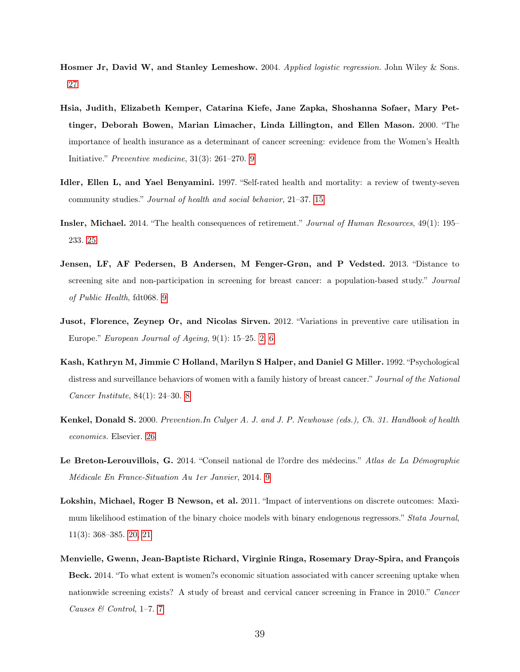- <span id="page-38-10"></span>Hosmer Jr, David W, and Stanley Lemeshow. 2004. Applied logistic regression. John Wiley & Sons. [27](#page-26-0)
- <span id="page-38-3"></span>Hsia, Judith, Elizabeth Kemper, Catarina Kiefe, Jane Zapka, Shoshanna Sofaer, Mary Pettinger, Deborah Bowen, Marian Limacher, Linda Lillington, and Ellen Mason. 2000. "The importance of health insurance as a determinant of cancer screening: evidence from the Women's Health Initiative." Preventive medicine, 31(3): 261–270. [9](#page-8-0)
- <span id="page-38-6"></span>Idler, Ellen L, and Yael Benyamini. 1997. "Self-rated health and mortality: a review of twenty-seven community studies." Journal of health and social behavior, 21–37. [15](#page-14-0)
- <span id="page-38-8"></span>Insler, Michael. 2014. "The health consequences of retirement." Journal of Human Resources, 49(1): 195– 233. [25](#page-24-0)
- <span id="page-38-5"></span>Jensen, LF, AF Pedersen, B Andersen, M Fenger-Grøn, and P Vedsted. 2013. "Distance to screening site and non-participation in screening for breast cancer: a population-based study." Journal of Public Health, fdt068. [9](#page-8-0)
- <span id="page-38-0"></span>Jusot, Florence, Zeynep Or, and Nicolas Sirven. 2012. "Variations in preventive care utilisation in Europe." European Journal of Ageing, 9(1): 15–25. [2,](#page-1-0) [6](#page-5-1)
- <span id="page-38-2"></span>Kash, Kathryn M, Jimmie C Holland, Marilyn S Halper, and Daniel G Miller. 1992. "Psychological distress and surveillance behaviors of women with a family history of breast cancer." Journal of the National Cancer Institute, 84(1): 24–30. [8](#page-7-0)
- <span id="page-38-9"></span>Kenkel, Donald S. 2000. Prevention.In Culyer A. J. and J. P. Newhouse (eds.), Ch. 31. Handbook of health economics. Elsevier. [26](#page-25-1)
- <span id="page-38-4"></span>Le Breton-Lerouvillois, G. 2014. "Conseil national de l?ordre des médecins." Atlas de La Démographie Médicale En France-Situation Au 1er Janvier, 2014. [9](#page-8-0)
- <span id="page-38-7"></span>Lokshin, Michael, Roger B Newson, et al. 2011. "Impact of interventions on discrete outcomes: Maximum likelihood estimation of the binary choice models with binary endogenous regressors." Stata Journal, 11(3): 368–385. [20,](#page-19-1) [21](#page-20-0)
- <span id="page-38-1"></span>Menvielle, Gwenn, Jean-Baptiste Richard, Virginie Ringa, Rosemary Dray-Spira, and François Beck. 2014. "To what extent is women?s economic situation associated with cancer screening uptake when nationwide screening exists? A study of breast and cervical cancer screening in France in 2010." Cancer Causes & Control, 1–7. [7](#page-6-0)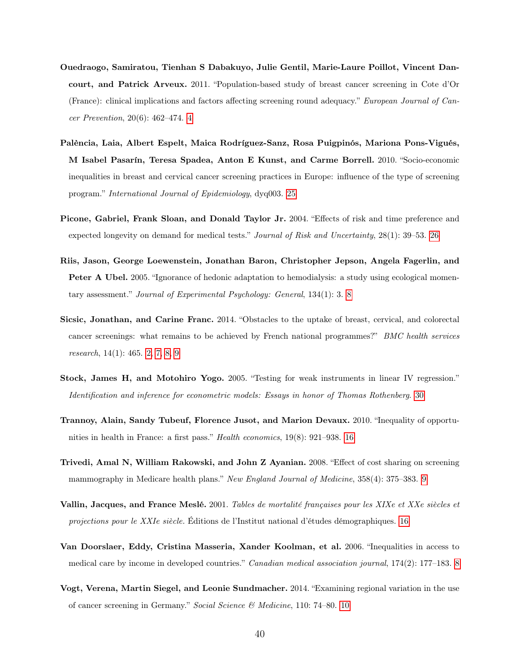- <span id="page-39-1"></span>Ouedraogo, Samiratou, Tienhan S Dabakuyo, Julie Gentil, Marie-Laure Poillot, Vincent Dancourt, and Patrick Arveux. 2011. "Population-based study of breast cancer screening in Cote d'Or (France): clinical implications and factors affecting screening round adequacy." European Journal of Cancer Prevention, 20(6): 462–474. [4](#page-3-0)
- <span id="page-39-8"></span>Palència, Laia, Albert Espelt, Maica Rodríguez-Sanz, Rosa Puigpinós, Mariona Pons-Vigués, M Isabel Pasarín, Teresa Spadea, Anton E Kunst, and Carme Borrell. 2010. "Socio-economic inequalities in breast and cervical cancer screening practices in Europe: influence of the type of screening program." International Journal of Epidemiology, dyq003. [25](#page-24-0)
- <span id="page-39-9"></span>Picone, Gabriel, Frank Sloan, and Donald Taylor Jr. 2004. "Effects of risk and time preference and expected longevity on demand for medical tests." Journal of Risk and Uncertainty, 28(1): 39–53. [26](#page-25-1)
- <span id="page-39-2"></span>Riis, Jason, George Loewenstein, Jonathan Baron, Christopher Jepson, Angela Fagerlin, and Peter A Ubel. 2005. "Ignorance of hedonic adaptation to hemodialysis: a study using ecological momentary assessment." Journal of Experimental Psychology: General, 134(1): 3. [8](#page-7-0)
- <span id="page-39-0"></span>Sicsic, Jonathan, and Carine Franc. 2014. "Obstacles to the uptake of breast, cervical, and colorectal cancer screenings: what remains to be achieved by French national programmes?" BMC health services research, 14(1): 465. [2,](#page-1-0) [7,](#page-6-0) [8,](#page-7-0) [9](#page-8-0)
- <span id="page-39-10"></span>Stock, James H, and Motohiro Yogo. 2005. "Testing for weak instruments in linear IV regression." Identification and inference for econometric models: Essays in honor of Thomas Rothenberg. [30](#page-29-1)
- <span id="page-39-6"></span>Trannoy, Alain, Sandy Tubeuf, Florence Jusot, and Marion Devaux. 2010. "Inequality of opportunities in health in France: a first pass." Health economics, 19(8): 921–938. [16](#page-15-0)
- <span id="page-39-4"></span>Trivedi, Amal N, William Rakowski, and John Z Ayanian. 2008. "Effect of cost sharing on screening mammography in Medicare health plans." New England Journal of Medicine, 358(4): 375–383. [9](#page-8-0)
- <span id="page-39-7"></span>Vallin, Jacques, and France Meslé. 2001. Tables de mortalité françaises pour les XIXe et XXe siècles et projections pour le XXIe siècle. Éditions de l'Institut national d'études démographiques. [16](#page-15-0)
- <span id="page-39-3"></span>Van Doorslaer, Eddy, Cristina Masseria, Xander Koolman, et al. 2006. "Inequalities in access to medical care by income in developed countries." Canadian medical association journal, 174(2): 177–183. [8](#page-7-0)
- <span id="page-39-5"></span>Vogt, Verena, Martin Siegel, and Leonie Sundmacher. 2014. "Examining regional variation in the use of cancer screening in Germany." Social Science & Medicine, 110: 74–80. [10](#page-9-1)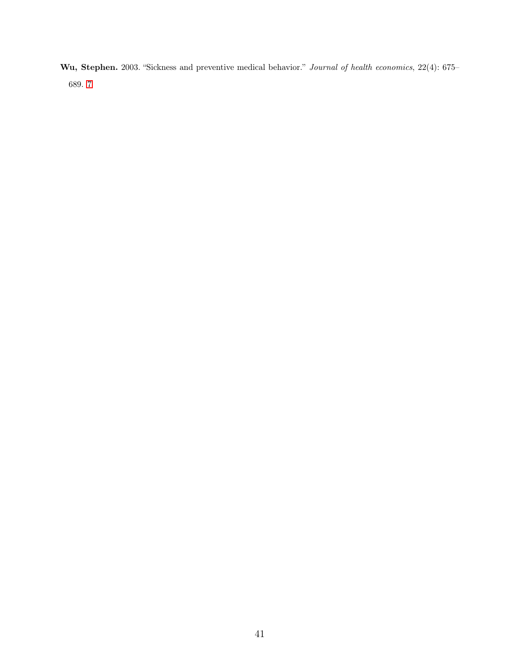<span id="page-40-0"></span>Wu, Stephen. 2003. "Sickness and preventive medical behavior." Journal of health economics, 22(4): 675– 689. [7](#page-6-0)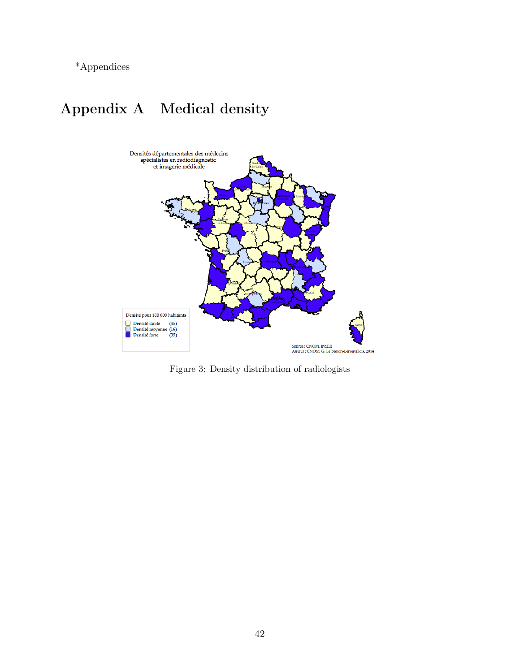<span id="page-41-1"></span>\*Appendices

# <span id="page-41-0"></span>Appendix A Medical density



Figure 3: Density distribution of radiologists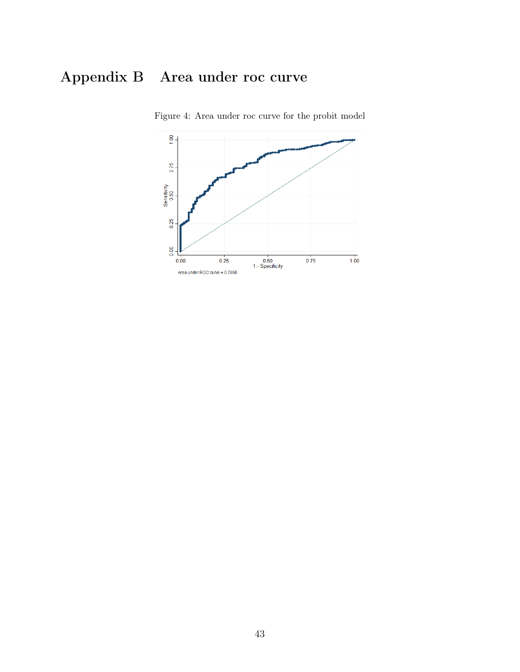# <span id="page-42-1"></span><span id="page-42-0"></span>Appendix B Area under roc curve



Figure 4: Area under roc curve for the probit model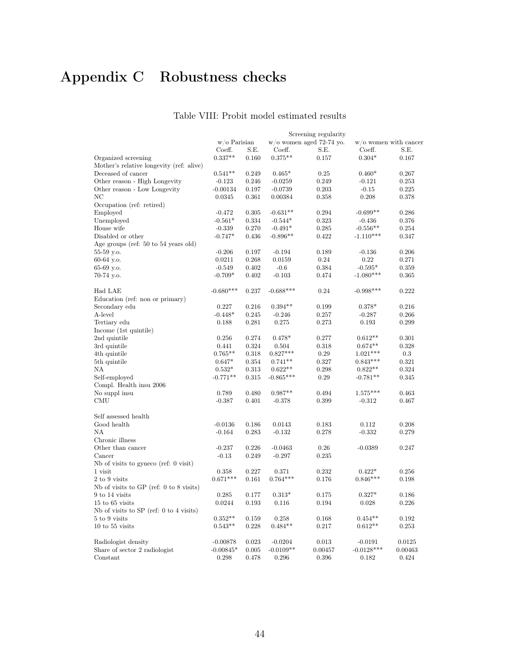# <span id="page-43-1"></span><span id="page-43-0"></span>Appendix C Robustness checks

#### Table VIII: Probit model estimated results

|                                             |                 |       |             | Screening regularity        |              |                          |
|---------------------------------------------|-----------------|-------|-------------|-----------------------------|--------------|--------------------------|
|                                             | $w$ /o Parisian |       |             | $w$ /o women aged 72-74 vo. |              | $w$ /o women with cancer |
|                                             | Coeff.          | S.E.  | Coeff.      | S.E.                        | Coeff.       | S.E.                     |
| Organized screening                         | $0.337**$       | 0.160 | $0.375**$   | 0.157                       | $0.304*$     | 0.167                    |
| Mother's relative longevity (ref: alive)    |                 |       |             |                             |              |                          |
| Deceased of cancer                          | $0.541**$       | 0.249 | $0.465*$    | 0.25                        | $0.460*$     | 0.267                    |
| Other reason - High Longevity               | $-0.123$        | 0.246 | $-0.0259$   | 0.249                       | $-0.121$     | 0.253                    |
| Other reason - Low Longevity                | $-0.00134$      | 0.197 | $-0.0739$   | 0.203                       | $-0.15$      | 0.225                    |
| ΝC                                          | 0.0345          | 0.361 | 0.00384     | 0.358                       | 0.208        | 0.378                    |
| Occupation (ref: retired)                   |                 |       |             |                             |              |                          |
| Employed                                    | $-0.472$        | 0.305 | $-0.631**$  | 0.294                       | $-0.699**$   | 0.286                    |
| Unemployed                                  | $-0.561*$       | 0.334 | $-0.544*$   | 0.323                       | $-0.436$     | 0.376                    |
| House wife                                  | $-0.339$        | 0.270 | $-0.491*$   | 0.285                       | $-0.556**$   | 0.254                    |
| Disabled or other                           | $-0.747*$       | 0.436 | $-0.896**$  | 0.422                       | $-1.110***$  | 0.347                    |
| Age groups (ref: 50 to 54 years old)        |                 |       |             |                             |              |                          |
| 55-59 y.o.                                  | $-0.206$        | 0.197 | $-0.194$    | 0.189                       | $-0.136$     | 0.206                    |
| 60-64 y.o.                                  | 0.0211          | 0.268 | 0.0159      | 0.24                        | 0.22         | 0.271                    |
| 65-69 y.o.                                  | $-0.549$        | 0.402 | $-0.6$      | 0.384                       | $-0.595*$    | 0.359                    |
| 70-74 y.o.                                  | $-0.709*$       | 0.402 | $-0.103$    | 0.474                       | $-1.080***$  | 0.365                    |
| Had LAE                                     | $-0.680***$     | 0.237 | $-0.688***$ | 0.24                        | $-0.998***$  | 0.222                    |
| Education (ref: non or primary)             |                 |       |             |                             |              |                          |
| Secondary edu                               | 0.227           | 0.216 | $0.394**$   | 0.199                       | $0.378*$     | 0.216                    |
| A-level                                     | $-0.448*$       | 0.245 | $-0.246$    | 0.257                       | $-0.287$     | 0.266                    |
| Tertiary edu                                | 0.188           | 0.281 | 0.275       | 0.273                       | 0.193        | 0.299                    |
| Income (1st quintile)                       |                 |       |             |                             |              |                          |
| 2nd quintile                                | 0.256           | 0.274 | $0.478*$    | 0.277                       | $0.612**$    | 0.301                    |
| 3rd quintile                                | 0.441           | 0.324 | 0.504       | 0.318                       | $0.674**$    | 0.328                    |
| 4th quintile                                | $0.765**$       | 0.318 | $0.827***$  | 0.29                        | $1.021***$   | 0.3                      |
| 5th quintile                                | $0.647*$        | 0.354 | $0.741**$   | 0.327                       | $0.843***$   | 0.321                    |
| ΝA                                          | $0.532*$        | 0.313 | $0.622**$   | 0.298                       | $0.822**$    | 0.324                    |
| Self-employed                               | $-0.771**$      | 0.315 | $-0.865***$ | 0.29                        | $-0.781**$   | 0.345                    |
| Compl. Health insu 2006                     |                 |       |             |                             |              |                          |
| No suppl insu                               | 0.789           | 0.480 | $0.987**$   | 0.494                       | $1.575***$   | 0.463                    |
| CMU                                         | $-0.387$        | 0.401 | $-0.378$    | 0.399                       | $-0.312$     | 0.467                    |
| Self assessed health                        |                 |       |             |                             |              |                          |
| Good health                                 | $-0.0136$       | 0.186 | 0.0143      | 0.183                       | 0.112        | 0.208                    |
| NA                                          | $-0.164$        | 0.283 | $-0.132$    | 0.278                       | $-0.332$     | 0.279                    |
| Chronic illness                             |                 |       |             |                             |              |                          |
| Other than cancer                           | $-0.237$        | 0.226 | $-0.0463$   | 0.26                        | $-0.0389$    | 0.247                    |
| Cancer                                      | $-0.13$         | 0.249 | $-0.297$    | 0.235                       |              |                          |
| Nb of visits to gyneco (ref: $0$ visit)     |                 |       |             |                             |              |                          |
| 1 visit                                     | 0.358           | 0.227 | 0.371       | 0.232                       | $0.422*$     | 0.256                    |
| 2 to 9 visits                               | $0.671***$      | 0.161 | $0.764***$  | 0.176                       | $0.846***$   | 0.198                    |
| Nb of visits to GP (ref: $0$ to $8$ visits) |                 |       |             |                             |              |                          |
| 9 to 14 visits                              | 0.285           | 0.177 | $0.313*$    | 0.175                       | $0.327*$     | 0.186                    |
| $15$ to $65$ visits                         | 0.0244          | 0.193 | 0.116       | 0.194                       | 0.028        | 0.226                    |
| Nb of visits to SP (ref: 0 to 4 visits)     |                 |       |             |                             |              |                          |
| 5 to 9 visits                               | $0.352**$       | 0.159 | 0.258       | 0.168                       | $0.454**$    | 0.192                    |
| $10$ to $55$ visits                         | $0.543**$       | 0.228 | $0.484**$   | 0.217                       | $0.612**$    | 0.253                    |
| Radiologist density                         | $-0.00878$      | 0.023 | $-0.0204$   | 0.013                       | $-0.0191$    | 0.0125                   |
| Share of sector 2 radiologist               | $-0.00845*$     | 0.005 | $-0.0109**$ | 0.00457                     | $-0.0128***$ | 0.00463                  |
| Constant                                    | 0.298           | 0.478 | 0.296       | 0.396                       | 0.182        | 0.424                    |
|                                             |                 |       |             |                             |              |                          |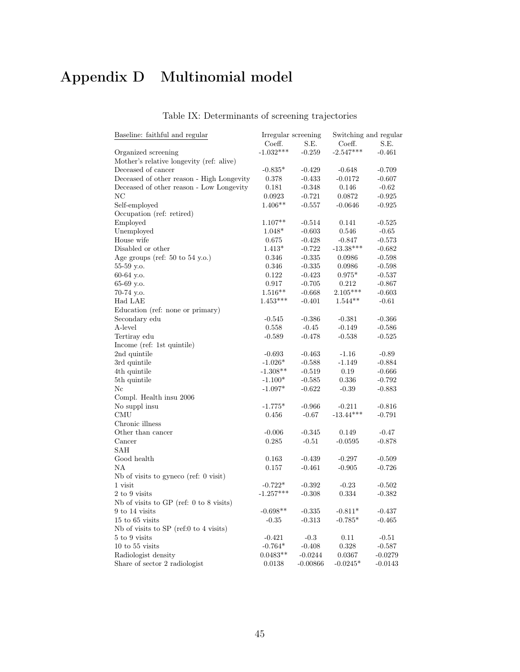# <span id="page-44-1"></span><span id="page-44-0"></span>Appendix D Multinomial model

#### Table IX: Determinants of screening trajectories

| Baseline: faithful and regular            | Irregular screening |            |                                       | Switching and regular |
|-------------------------------------------|---------------------|------------|---------------------------------------|-----------------------|
|                                           | Coeff.              | S.E.       | Coeff.                                | S.E.                  |
| Organized screening                       | $-1.032***$         | $-0.259$   | $-2.547***$                           | $-0.461$              |
| Mother's relative longevity (ref: alive)  |                     |            |                                       |                       |
| Deceased of cancer                        | $-0.835*$           | $-0.429$   | $-0.648$                              | $-0.709$              |
| Deceased of other reason - High Longevity | 0.378               | $-0.433$   | $-0.0172$                             | $-0.607$              |
| Deceased of other reason - Low Longevity  | 0.181               | $-0.348$   | 0.146                                 | $-0.62$               |
| NC                                        | 0.0923              | $-0.721$   | 0.0872                                | $-0.925$              |
| Self-employed                             | $1.406**$           | $-0.557$   | $-0.0646$                             | $-0.925$              |
| Occupation (ref: retired)                 |                     |            |                                       |                       |
| Employed                                  | $1.107**$           | $-0.514$   | 0.141                                 | $-0.525$              |
| Unemployed                                | $1.048*$            | $-0.603$   | 0.546                                 | $-0.65$               |
| House wife                                | 0.675               | $-0.428$   | $-0.847$                              | $-0.573$              |
| Disabled or other                         | $1.413*$            | $-0.722$   | $\textbf{ -13.38}^{\ast\ast\ast\ast}$ | $-0.682$              |
| Age groups (ref: $50$ to $54$ y.o.)       | 0.346               | $-0.335$   | 0.0986                                | $-0.598$              |
| 55-59 y.o.                                | 0.346               | $-0.335$   | 0.0986                                | $-0.598$              |
| 60-64 y.o.                                | 0.122               | $-0.423$   | $0.975*$                              | $-0.537$              |
| 65-69 y.o.                                | 0.917               | $-0.705$   | 0.212                                 | $-0.867$              |
| 70-74 y.o.                                | $1.516**$           | $-0.668$   | $2.105***$                            | $-0.603$              |
| Had LAE                                   | $1.453***$          | $-0.401$   | $1.544**$                             | $-0.61$               |
| Education (ref: none or primary)          |                     |            |                                       |                       |
| Secondary edu                             | $-0.545$            | $-0.386$   | $-0.381$                              | $-0.366$              |
| A-level                                   | 0.558               | $-0.45$    | $-0.149$                              | $-0.586$              |
| Tertiray edu                              | $-0.589$            | $-0.478$   | $-0.538$                              | $-0.525$              |
| Income (ref: 1st quintile)                |                     |            |                                       |                       |
| 2nd quintile                              | $-0.693$            | $-0.463$   | $-1.16$                               | $-0.89$               |
| 3rd quintile                              | $-1.026*$           | $-0.588$   | $-1.149$                              | $-0.884$              |
| 4th quintile                              | $-1.308**$          | $-0.519$   | 0.19                                  | $-0.666$              |
| 5th quintile                              | $-1.100*$           | $-0.585$   | 0.336                                 | $-0.792$              |
| Nc                                        | $-1.097*$           | $-0.622$   | $-0.39$                               | $-0.883$              |
| Compl. Health insu 2006                   |                     |            |                                       |                       |
| No suppl insu                             | $-1.775*$           | $-0.966$   | $-0.211$                              | $-0.816$              |
| CMU                                       | 0.456               | $-0.67$    | $-13.44***$                           | $-0.791$              |
| Chronic illness                           |                     |            |                                       |                       |
| Other than cancer                         | $-0.006$            | $-0.345$   | 0.149                                 | $-0.47$               |
| Cancer                                    | 0.285               | $-0.51$    | $-0.0595$                             | $-0.878$              |
| SAH                                       |                     |            |                                       |                       |
| Good health                               | 0.163               | $-0.439$   | $-0.297$                              | $-0.509$              |
| NΑ                                        | 0.157               | $-0.461$   | $-0.905$                              | $-0.726$              |
| Nb of visits to gyneco (ref: 0 visit)     |                     |            |                                       |                       |
| 1 visit                                   | $-0.722*$           | $-0.392$   | $-0.23$                               | $-0.502$              |
| 2 to 9 visits                             | $-1.257***$         | $-0.308$   | 0.334                                 | $-0.382$              |
| Nb of visits to $GP$ (ref: 0 to 8 visits) |                     |            |                                       |                       |
| 9 to 14 visits                            | $-0.698**$          | $-0.335$   | $-0.811*$                             | $-0.437$              |
| 15 to 65 visits                           | $-0.35$             | $-0.313$   | $-0.785*$                             | $-0.465$              |
| Nb of visits to SP (ref:0 to 4 visits)    |                     |            |                                       |                       |
| 5 to 9 visits                             | $-0.421$            | $-0.3$     | 0.11                                  | $-0.51$               |
| $10$ to $55$ visits                       | $-0.764*$           | $-0.408$   | 0.328                                 | $-0.587$              |
| Radiologist density                       | $0.0483**$          | $-0.0244$  | 0.0367                                | $-0.0279$             |
| Share of sector 2 radiologist             | 0.0138              | $-0.00866$ | $-0.0245*$                            | $-0.0143$             |